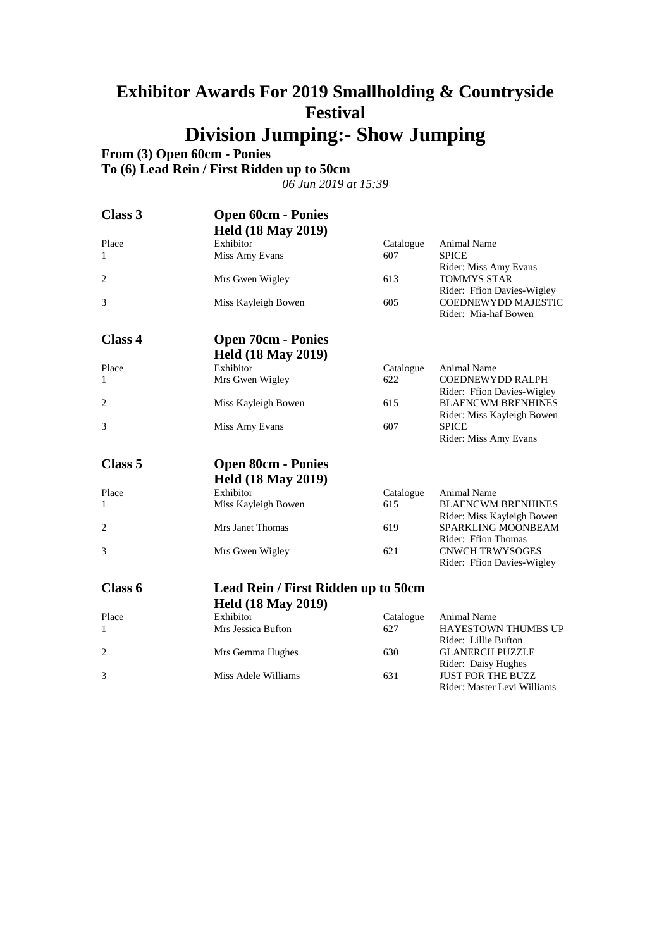# **Division Jumping:- Show Jumping**

**From (3) Open 60cm - Ponies**

**To (6) Lead Rein / First Ridden up to 50cm**

| Class 3        | <b>Open 60cm - Ponies</b>           |           |                                                                           |
|----------------|-------------------------------------|-----------|---------------------------------------------------------------------------|
|                | <b>Held (18 May 2019)</b>           |           |                                                                           |
| Place          | Exhibitor                           | Catalogue | Animal Name                                                               |
| $\mathbf{1}$   | Miss Amy Evans                      | 607       | <b>SPICE</b>                                                              |
| $\overline{2}$ | Mrs Gwen Wigley                     | 613       | Rider: Miss Amy Evans<br><b>TOMMYS STAR</b><br>Rider: Ffion Davies-Wigley |
| 3              | Miss Kayleigh Bowen                 | 605       | <b>COEDNEWYDD MAJESTIC</b><br>Rider: Mia-haf Bowen                        |
| Class 4        | <b>Open 70cm - Ponies</b>           |           |                                                                           |
|                | <b>Held (18 May 2019)</b>           |           |                                                                           |
| Place          | Exhibitor                           | Catalogue | Animal Name                                                               |
| 1              | Mrs Gwen Wigley                     | 622       | <b>COEDNEWYDD RALPH</b><br>Rider: Ffion Davies-Wigley                     |
| 2              | Miss Kayleigh Bowen                 | 615       | <b>BLAENCWM BRENHINES</b><br>Rider: Miss Kayleigh Bowen                   |
| 3              | Miss Amy Evans                      | 607       | <b>SPICE</b><br>Rider: Miss Amy Evans                                     |
| Class 5        | <b>Open 80cm - Ponies</b>           |           |                                                                           |
|                | <b>Held (18 May 2019)</b>           |           |                                                                           |
| Place          | Exhibitor                           | Catalogue | Animal Name                                                               |
| 1              | Miss Kayleigh Bowen                 | 615       | <b>BLAENCWM BRENHINES</b><br>Rider: Miss Kayleigh Bowen                   |
| 2              | Mrs Janet Thomas                    | 619       | SPARKLING MOONBEAM<br>Rider: Ffion Thomas                                 |
| 3              | Mrs Gwen Wigley                     | 621       | <b>CNWCH TRWYSOGES</b><br>Rider: Ffion Davies-Wigley                      |
| Class 6        | Lead Rein / First Ridden up to 50cm |           |                                                                           |
|                | <b>Held (18 May 2019)</b>           |           |                                                                           |
| Place          | Exhibitor                           | Catalogue | <b>Animal Name</b>                                                        |
| 1              | Mrs Jessica Bufton                  | 627       | <b>HAYESTOWN THUMBS UP</b>                                                |
| $\overline{2}$ | Mrs Gemma Hughes                    | 630       | Rider: Lillie Bufton<br><b>GLANERCH PUZZLE</b><br>Rider: Daisy Hughes     |
| 3              | Miss Adele Williams                 | 631       | <b>JUST FOR THE BUZZ</b><br>Rider: Master Levi Williams                   |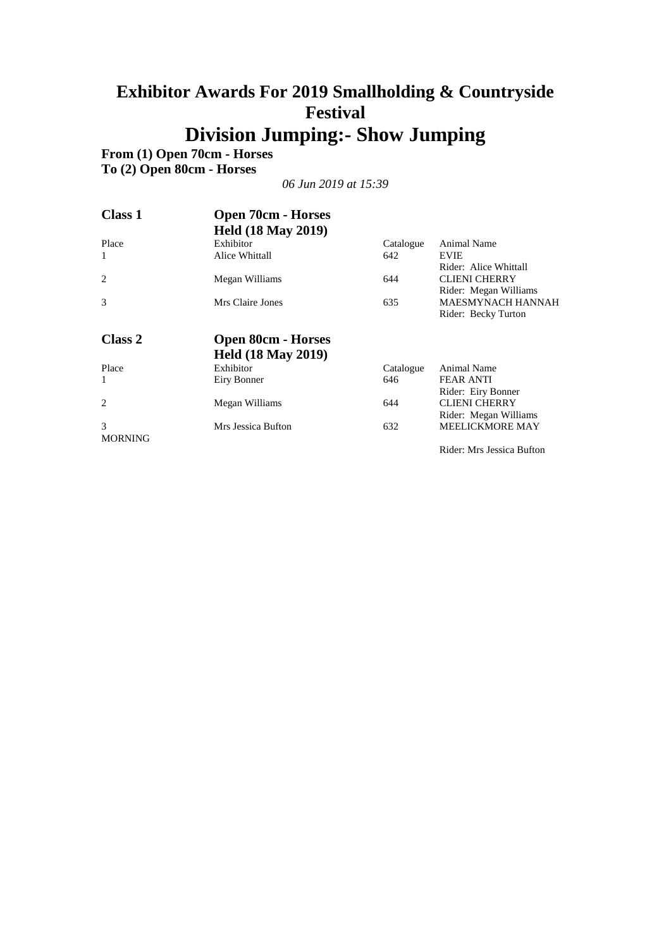# **Division Jumping:- Show Jumping**

**From (1) Open 70cm - Horses**

**To (2) Open 80cm - Horses**

| <b>Class 1</b> | <b>Open 70cm - Horses</b> |           |                           |
|----------------|---------------------------|-----------|---------------------------|
|                | <b>Held (18 May 2019)</b> |           |                           |
| Place          | Exhibitor                 | Catalogue | Animal Name               |
| 1              | Alice Whittall            | 642       | <b>EVIE</b>               |
|                |                           |           | Rider: Alice Whittall     |
| 2              | Megan Williams            | 644       | <b>CLIENI CHERRY</b>      |
|                |                           |           | Rider: Megan Williams     |
| 3              | Mrs Claire Jones          | 635       | <b>MAESMYNACH HANNAH</b>  |
|                |                           |           | Rider: Becky Turton       |
| Class 2        | <b>Open 80cm - Horses</b> |           |                           |
|                | <b>Held (18 May 2019)</b> |           |                           |
| Place          | Exhibitor                 | Catalogue | Animal Name               |
| 1              | Eiry Bonner               | 646       | <b>FEAR ANTI</b>          |
|                |                           |           | Rider: Eiry Bonner        |
| 2              | Megan Williams            | 644       | <b>CLIENI CHERRY</b>      |
|                |                           |           | Rider: Megan Williams     |
| 3              | Mrs Jessica Bufton        | 632       | <b>MEELICKMORE MAY</b>    |
| MORNING        |                           |           |                           |
|                |                           |           | Rider: Mrs Jessica Bufton |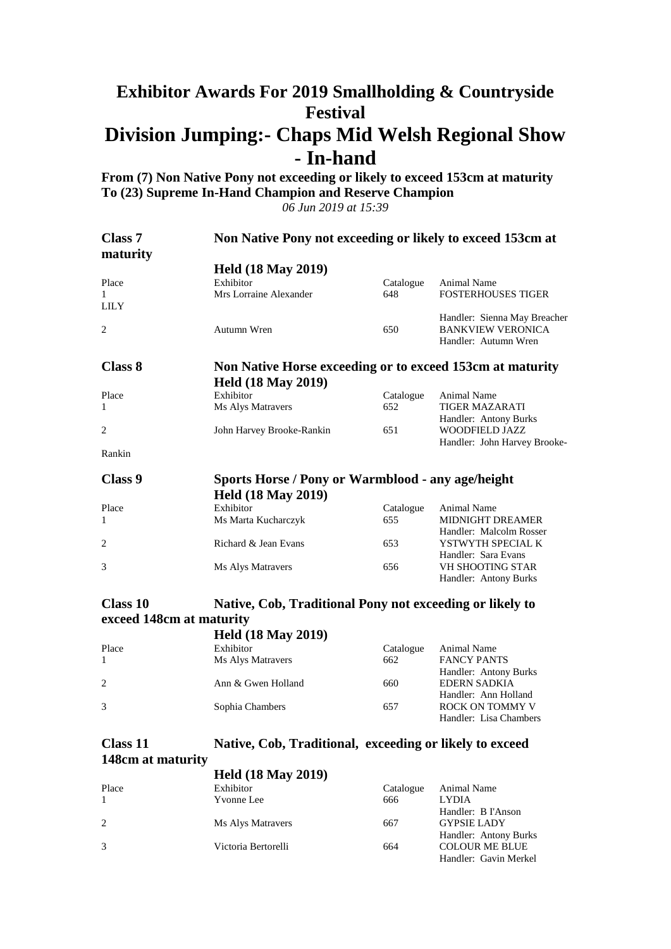### **Exhibitor Awards For 2019 Smallholding & Countryside Festival Division Jumping:- Chaps Mid Welsh Regional Show - In-hand**

**From (7) Non Native Pony not exceeding or likely to exceed 153cm at maturity To (23) Supreme In-Hand Champion and Reserve Champion** *06 Jun 2019 at 15:39*

| Class 7        | Non Native Pony not exceeding or likely to exceed 153cm at |           |                                                                                  |  |
|----------------|------------------------------------------------------------|-----------|----------------------------------------------------------------------------------|--|
| maturity       |                                                            |           |                                                                                  |  |
|                | <b>Held (18 May 2019)</b>                                  |           |                                                                                  |  |
| Place          | Exhibitor                                                  | Catalogue | <b>Animal Name</b>                                                               |  |
| $\mathbf{1}$   | Mrs Lorraine Alexander                                     | 648       | <b>FOSTERHOUSES TIGER</b>                                                        |  |
| <b>LILY</b>    |                                                            |           |                                                                                  |  |
| $\overline{2}$ | Autumn Wren                                                | 650       | Handler: Sienna May Breacher<br><b>BANKVIEW VERONICA</b><br>Handler: Autumn Wren |  |
| <b>Class 8</b> | Non Native Horse exceeding or to exceed 153cm at maturity  |           |                                                                                  |  |
|                | <b>Held (18 May 2019)</b>                                  |           |                                                                                  |  |
| Place          | Exhibitor                                                  | Catalogue | <b>Animal Name</b>                                                               |  |
| 1              | Ms Alys Matravers                                          | 652       | <b>TIGER MAZARATI</b>                                                            |  |
|                |                                                            |           | Handler: Antony Burks                                                            |  |
| $\overline{c}$ | John Harvey Brooke-Rankin                                  | 651       | WOODFIELD JAZZ                                                                   |  |
| Rankin         |                                                            |           | Handler: John Harvey Brooke-                                                     |  |
| Class 9        | Sports Horse / Pony or Warmblood - any age/height          |           |                                                                                  |  |
|                | <b>Held (18 May 2019)</b>                                  |           |                                                                                  |  |
| Place          | Exhibitor                                                  | Catalogue | <b>Animal Name</b>                                                               |  |
| 1              | Ms Marta Kucharczyk                                        | 655       | <b>MIDNIGHT DREAMER</b>                                                          |  |
|                |                                                            |           | Handler: Malcolm Rosser                                                          |  |
| 2              | Richard & Jean Evans                                       | 653       | YSTWYTH SPECIAL K                                                                |  |
|                |                                                            |           | Handler: Sara Evans                                                              |  |
| 3              | Ms Alys Matravers                                          | 656       | <b>VH SHOOTING STAR</b>                                                          |  |
|                |                                                            |           | Handler: Antony Burks                                                            |  |

### **Class 10 Native, Cob, Traditional Pony not exceeding or likely to exceed 148cm at maturity**

|              | <b>Held (18 May 2019)</b> |           |                        |  |
|--------------|---------------------------|-----------|------------------------|--|
| Place        | Exhibitor                 | Catalogue | Animal Name            |  |
| $\mathbf{1}$ | Ms Alys Matravers         | 662       | <b>FANCY PANTS</b>     |  |
|              |                           |           | Handler: Antony Burks  |  |
| 2            | Ann & Gwen Holland        | 660       | <b>EDERN SADKIA</b>    |  |
|              |                           |           | Handler: Ann Holland   |  |
|              | Sophia Chambers           | 657       | <b>ROCK ON TOMMY V</b> |  |
|              |                           |           | Handler: Lisa Chambers |  |

### **Class 11 Native, Cob, Traditional, exceeding or likely to exceed 148cm at maturity**

|              | <b>Held (18 May 2019)</b> |           |                       |  |
|--------------|---------------------------|-----------|-----------------------|--|
| Place        | Exhibitor                 | Catalogue | Animal Name           |  |
| $\mathbf{1}$ | Yvonne Lee                | 666       | <b>LYDIA</b>          |  |
|              |                           |           | Handler: B I'Anson    |  |
| 2            | Ms Alys Matravers         | 667       | <b>GYPSIE LADY</b>    |  |
|              |                           |           | Handler: Antony Burks |  |
| 3            | Victoria Bertorelli       | 664       | <b>COLOUR ME BLUE</b> |  |
|              |                           |           | Handler: Gavin Merkel |  |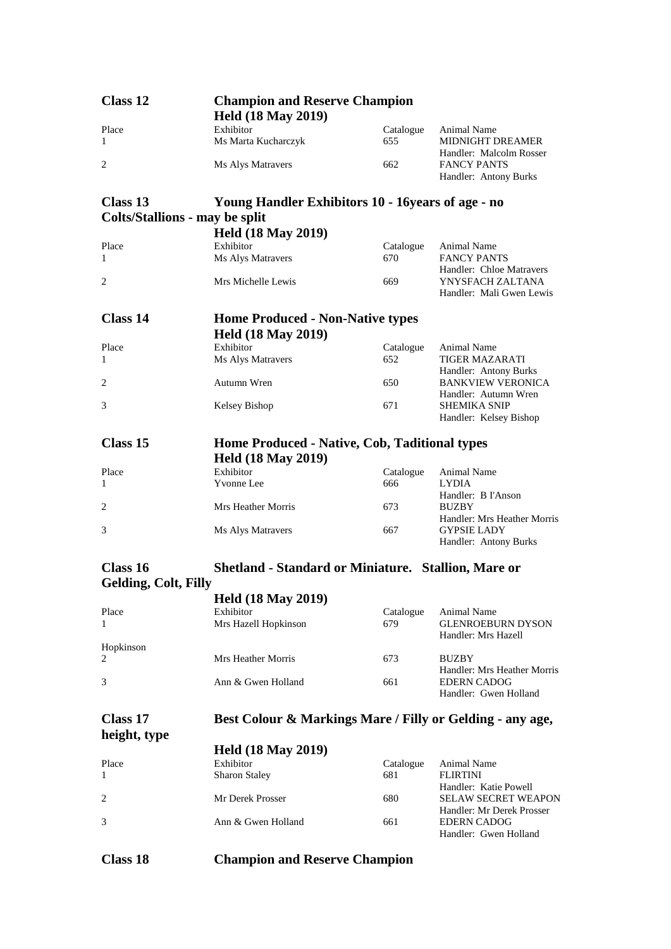| <b>Class 12</b>                       |                                                            |                  |                                                                          |
|---------------------------------------|------------------------------------------------------------|------------------|--------------------------------------------------------------------------|
|                                       | <b>Champion and Reserve Champion</b>                       |                  |                                                                          |
|                                       | <b>Held (18 May 2019)</b>                                  |                  |                                                                          |
| Place<br>1                            | Exhibitor<br>Ms Marta Kucharczyk                           | Catalogue<br>655 | Animal Name<br>MIDNIGHT DREAMER                                          |
| 2                                     | Ms Alys Matravers                                          | 662              | Handler: Malcolm Rosser<br><b>FANCY PANTS</b><br>Handler: Antony Burks   |
| Class 13                              | Young Handler Exhibitors 10 - 16 years of age - no         |                  |                                                                          |
| <b>Colts/Stallions - may be split</b> |                                                            |                  |                                                                          |
|                                       | <b>Held (18 May 2019)</b>                                  |                  |                                                                          |
| Place                                 | Exhibitor                                                  | Catalogue        | Animal Name                                                              |
| 1                                     | Ms Alys Matravers                                          | 670              | <b>FANCY PANTS</b><br>Handler: Chloe Matravers                           |
| 2                                     | Mrs Michelle Lewis                                         | 669              | YNYSFACH ZALTANA<br>Handler: Mali Gwen Lewis                             |
| <b>Class 14</b>                       | <b>Home Produced - Non-Native types</b>                    |                  |                                                                          |
|                                       | <b>Held (18 May 2019)</b>                                  |                  |                                                                          |
| Place                                 | Exhibitor                                                  | Catalogue        | Animal Name                                                              |
| 1                                     | Ms Alys Matravers                                          | 652              | <b>TIGER MAZARATI</b><br>Handler: Antony Burks                           |
| 2                                     | Autumn Wren                                                | 650              | <b>BANKVIEW VERONICA</b><br>Handler: Autumn Wren                         |
| 3                                     | Kelsey Bishop                                              | 671              | <b>SHEMIKA SNIP</b><br>Handler: Kelsey Bishop                            |
|                                       |                                                            |                  |                                                                          |
| <b>Class 15</b>                       | Home Produced - Native, Cob, Taditional types              |                  |                                                                          |
|                                       | <b>Held (18 May 2019)</b>                                  |                  |                                                                          |
| Place                                 | Exhibitor                                                  | Catalogue        | Animal Name                                                              |
| 1                                     | Yvonne Lee                                                 | 666              | <b>LYDIA</b>                                                             |
| 2                                     | Mrs Heather Morris                                         | 673              | Handler: B I'Anson<br><b>BUZBY</b>                                       |
|                                       |                                                            |                  | Handler: Mrs Heather Morris                                              |
| 3                                     | Ms Alys Matravers                                          | 667              | <b>GYPSIE LADY</b><br>Handler: Antony Burks                              |
| <b>Class 16</b>                       | <b>Shetland - Standard or Miniature. Stallion, Mare or</b> |                  |                                                                          |
| <b>Gelding, Colt, Filly</b>           |                                                            |                  |                                                                          |
|                                       | <b>Held (18 May 2019)</b>                                  |                  |                                                                          |
| Place                                 | Exhibitor                                                  | Catalogue        | Animal Name                                                              |
| 1                                     | Mrs Hazell Hopkinson                                       | 679              | <b>GLENROEBURN DYSON</b><br>Handler: Mrs Hazell                          |
| Hopkinson                             |                                                            |                  |                                                                          |
| 2                                     | Mrs Heather Morris                                         | 673              | <b>BUZBY</b><br>Handler: Mrs Heather Morris                              |
| 3                                     | Ann & Gwen Holland                                         | 661              | <b>EDERN CADOG</b><br>Handler: Gwen Holland                              |
| <b>Class 17</b>                       | Best Colour & Markings Mare / Filly or Gelding - any age,  |                  |                                                                          |
| height, type                          |                                                            |                  |                                                                          |
|                                       | <b>Held (18 May 2019)</b>                                  |                  |                                                                          |
| Place                                 | Exhibitor                                                  | Catalogue        | Animal Name                                                              |
| 1                                     | <b>Sharon Staley</b>                                       | 681              | <b>FLIRTINI</b>                                                          |
| $\overline{c}$                        | Mr Derek Prosser                                           | 680              | Handler: Katie Powell<br><b>SELAW SECRET WEAPON</b>                      |
| 3                                     | Ann & Gwen Holland                                         | 661              | Handler: Mr Derek Prosser<br><b>EDERN CADOG</b><br>Handler: Gwen Holland |
| <b>Class 18</b>                       | <b>Champion and Reserve Champion</b>                       |                  |                                                                          |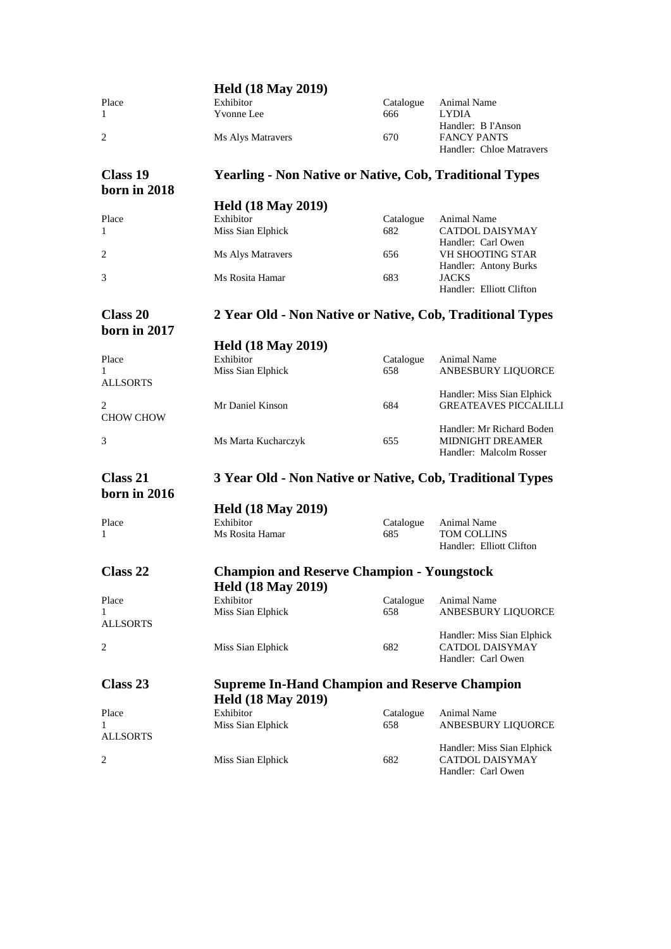|                     | <b>Held (18 May 2019)</b>                                      |                  |                                                            |
|---------------------|----------------------------------------------------------------|------------------|------------------------------------------------------------|
| Place               | Exhibitor                                                      | Catalogue        | Animal Name                                                |
| 1                   | Yvonne Lee                                                     | 666              | <b>LYDIA</b>                                               |
| $\overline{c}$      | Ms Alys Matravers                                              | 670              | Handler: B I'Anson<br><b>FANCY PANTS</b>                   |
|                     |                                                                |                  | Handler: Chloe Matravers                                   |
| <b>Class 19</b>     |                                                                |                  |                                                            |
| born in 2018        | <b>Yearling - Non Native or Native, Cob, Traditional Types</b> |                  |                                                            |
|                     | <b>Held (18 May 2019)</b>                                      |                  |                                                            |
| Place               | Exhibitor                                                      | Catalogue        | Animal Name                                                |
| 1                   | Miss Sian Elphick                                              | 682              | <b>CATDOL DAISYMAY</b>                                     |
|                     |                                                                |                  | Handler: Carl Owen                                         |
| 2                   | Ms Alys Matravers                                              | 656              | <b>VH SHOOTING STAR</b><br>Handler: Antony Burks           |
| 3                   | Ms Rosita Hamar                                                | 683              | <b>JACKS</b>                                               |
|                     |                                                                |                  | Handler: Elliott Clifton                                   |
| Class 20            | 2 Year Old - Non Native or Native, Cob, Traditional Types      |                  |                                                            |
| <b>born</b> in 2017 |                                                                |                  |                                                            |
|                     | <b>Held (18 May 2019)</b>                                      |                  |                                                            |
| Place               | Exhibitor                                                      | Catalogue        | <b>Animal Name</b>                                         |
| 1                   | Miss Sian Elphick                                              | 658              | ANBESBURY LIQUORCE                                         |
| <b>ALLSORTS</b>     |                                                                |                  |                                                            |
| 2                   | Mr Daniel Kinson                                               | 684              | Handler: Miss Sian Elphick<br><b>GREATEAVES PICCALILLI</b> |
| <b>CHOW CHOW</b>    |                                                                |                  |                                                            |
| 3                   |                                                                | 655              | Handler: Mr Richard Boden<br>MIDNIGHT DREAMER              |
|                     | Ms Marta Kucharczyk                                            |                  | Handler: Malcolm Rosser                                    |
|                     |                                                                |                  |                                                            |
| Class 21            | 3 Year Old - Non Native or Native, Cob, Traditional Types      |                  |                                                            |
| born in 2016        |                                                                |                  |                                                            |
|                     | <b>Held (18 May 2019)</b>                                      |                  |                                                            |
| Place<br>1          | Exhibitor<br>Ms Rosita Hamar                                   | Catalogue<br>685 | Animal Name<br><b>TOM COLLINS</b>                          |
|                     |                                                                |                  | Handler: Elliott Clifton                                   |
|                     |                                                                |                  |                                                            |
| Class 22            | <b>Champion and Reserve Champion - Youngstock</b>              |                  |                                                            |
|                     | <b>Held (18 May 2019)</b>                                      |                  |                                                            |
| Place               | Exhibitor                                                      | Catalogue        | Animal Name                                                |
| 1                   | Miss Sian Elphick                                              | 658              | ANBESBURY LIQUORCE                                         |
| ALLSORTS            |                                                                |                  | Handler: Miss Sian Elphick                                 |
| 2                   | Miss Sian Elphick                                              | 682              | CATDOL DAISYMAY                                            |
|                     |                                                                |                  | Handler: Carl Owen                                         |
| Class 23            | <b>Supreme In-Hand Champion and Reserve Champion</b>           |                  |                                                            |
|                     | <b>Held (18 May 2019)</b>                                      |                  |                                                            |
| Place               | Exhibitor                                                      | Catalogue        | Animal Name                                                |
| 1                   | Miss Sian Elphick                                              | 658              | ANBESBURY LIQUORCE                                         |
| ALLSORTS            |                                                                |                  |                                                            |
|                     |                                                                |                  | Handler: Miss Sian Elphick                                 |
| 2                   | Miss Sian Elphick                                              | 682              | CATDOL DAISYMAY<br>Handler: Carl Owen                      |
|                     |                                                                |                  |                                                            |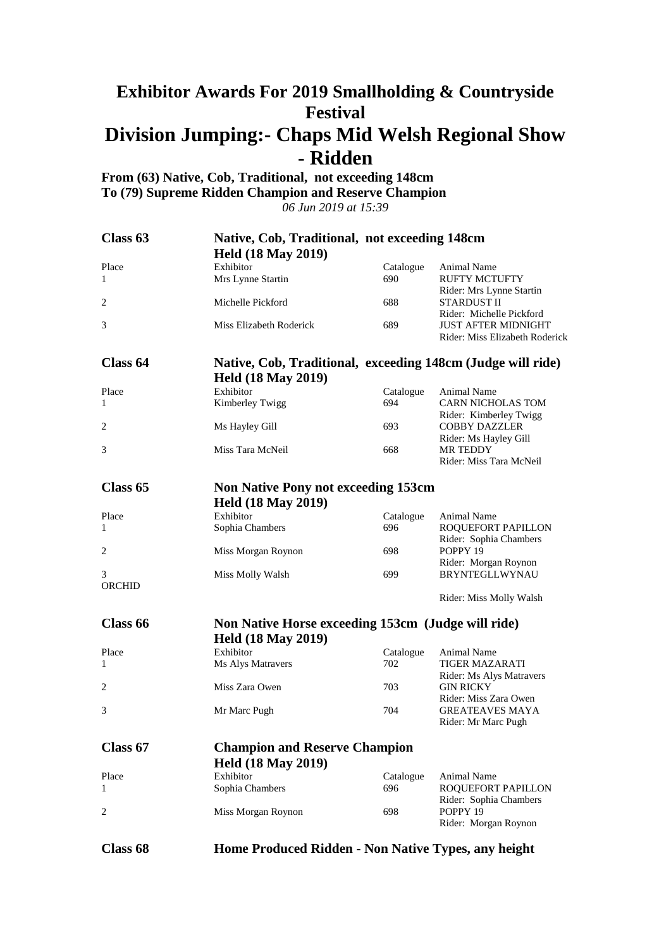# **Exhibitor Awards For 2019 Smallholding & Countryside Festival Division Jumping:- Chaps Mid Welsh Regional Show - Ridden**

**From (63) Native, Cob, Traditional, not exceeding 148cm To (79) Supreme Ridden Champion and Reserve Champion** *06 Jun 2019 at 15:39*

| Class 63            | <b>Held (18 May 2019)</b>                                                       | Native, Cob, Traditional, not exceeding 148cm |                                                              |  |
|---------------------|---------------------------------------------------------------------------------|-----------------------------------------------|--------------------------------------------------------------|--|
| Place               | Exhibitor                                                                       | Catalogue                                     | Animal Name                                                  |  |
| 1                   | Mrs Lynne Startin                                                               | 690                                           | <b>RUFTY MCTUFTY</b><br>Rider: Mrs Lynne Startin             |  |
| 2                   | Michelle Pickford                                                               | 688                                           | <b>STARDUST II</b><br>Rider: Michelle Pickford               |  |
| 3                   | Miss Elizabeth Roderick                                                         | 689                                           | <b>JUST AFTER MIDNIGHT</b><br>Rider: Miss Elizabeth Roderick |  |
| Class 64            | Native, Cob, Traditional, exceeding 148cm (Judge will ride)                     |                                               |                                                              |  |
|                     | <b>Held (18 May 2019)</b>                                                       |                                               |                                                              |  |
| Place               | Exhibitor                                                                       | Catalogue                                     | <b>Animal Name</b>                                           |  |
| 1                   | Kimberley Twigg                                                                 | 694                                           | <b>CARN NICHOLAS TOM</b><br>Rider: Kimberley Twigg           |  |
| 2                   | Ms Hayley Gill                                                                  | 693                                           | <b>COBBY DAZZLER</b><br>Rider: Ms Hayley Gill                |  |
| 3                   | Miss Tara McNeil                                                                | 668                                           | <b>MR TEDDY</b><br>Rider: Miss Tara McNeil                   |  |
| Class <sub>65</sub> | <b>Non Native Pony not exceeding 153cm</b><br><b>Held (18 May 2019)</b>         |                                               |                                                              |  |
| Place               | Exhibitor                                                                       | Catalogue                                     | Animal Name                                                  |  |
| 1                   | Sophia Chambers                                                                 | 696                                           | ROQUEFORT PAPILLON<br>Rider: Sophia Chambers                 |  |
| 2                   | Miss Morgan Roynon                                                              | 698                                           | POPPY 19<br>Rider: Morgan Roynon                             |  |
| 3<br><b>ORCHID</b>  | Miss Molly Walsh                                                                | 699                                           | <b>BRYNTEGLLWYNAU</b>                                        |  |
|                     |                                                                                 |                                               | Rider: Miss Molly Walsh                                      |  |
| Class 66            | Non Native Horse exceeding 153cm (Judge will ride)<br><b>Held (18 May 2019)</b> |                                               |                                                              |  |
| Place               | Exhibitor                                                                       | Catalogue                                     | Animal Name                                                  |  |
| 1                   | Ms Alys Matravers                                                               | 702                                           | <b>TIGER MAZARATI</b><br>Rider: Ms Alys Matravers            |  |
| 2                   | Miss Zara Owen                                                                  | 703                                           | <b>GIN RICKY</b><br>Rider: Miss Zara Owen                    |  |
| 3                   | Mr Marc Pugh                                                                    | 704                                           | <b>GREATEAVES MAYA</b><br>Rider: Mr Marc Pugh                |  |
| Class 67            | <b>Champion and Reserve Champion</b><br><b>Held (18 May 2019)</b>               |                                               |                                                              |  |
| Place               | Exhibitor                                                                       | Catalogue                                     | Animal Name                                                  |  |
| 1                   | Sophia Chambers                                                                 | 696                                           | ROQUEFORT PAPILLON<br>Rider: Sophia Chambers                 |  |
| 2                   | Miss Morgan Roynon                                                              | 698                                           | POPPY 19<br>Rider: Morgan Roynon                             |  |
| Class 68            | Home Produced Ridden - Non Native Types, any height                             |                                               |                                                              |  |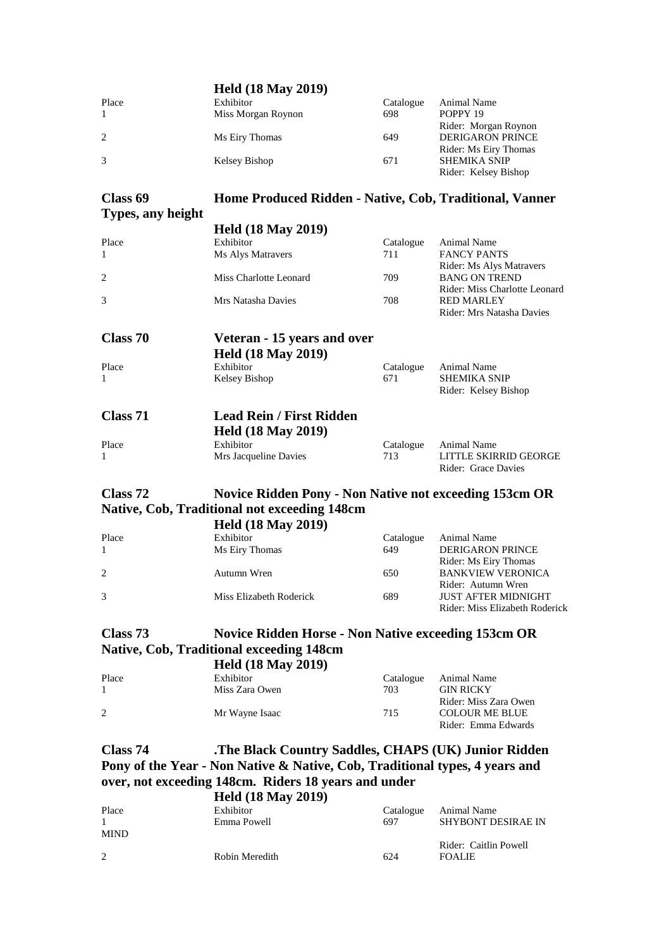|       | <b>Held (18 May 2019)</b> |           |                         |
|-------|---------------------------|-----------|-------------------------|
| Place | Exhibitor                 | Catalogue | Animal Name             |
|       | Miss Morgan Roynon        | 698       | POPPY 19                |
|       |                           |           | Rider: Morgan Roynon    |
| 2     | Ms Eiry Thomas            | 649       | <b>DERIGARON PRINCE</b> |
|       |                           |           | Rider: Ms Eiry Thomas   |
|       | Kelsey Bishop             | 671       | <b>SHEMIKA SNIP</b>     |
|       |                           |           | Rider: Kelsey Bishop    |

#### **Class 69 Home Produced Ridden - Native, Cob, Traditional, Vanner**

**Types, any height**

| $ \sqrt{ }$ $\cdots$ $\sqrt{ }$ $ \cdots$ $\cdots$ |                                 |           |                                                    |
|----------------------------------------------------|---------------------------------|-----------|----------------------------------------------------|
|                                                    | <b>Held (18 May 2019)</b>       |           |                                                    |
| Place                                              | Exhibitor                       | Catalogue | Animal Name                                        |
| 1                                                  | Ms Alys Matravers               | 711       | <b>FANCY PANTS</b>                                 |
|                                                    |                                 |           | Rider: Ms Alys Matravers                           |
| $\overline{2}$                                     | Miss Charlotte Leonard          | 709       | <b>BANG ON TREND</b>                               |
| 3                                                  | Mrs Natasha Davies              | 708       | Rider: Miss Charlotte Leonard<br><b>RED MARLEY</b> |
|                                                    |                                 |           | Rider: Mrs Natasha Davies                          |
|                                                    |                                 |           |                                                    |
| Class 70                                           | Veteran - 15 years and over     |           |                                                    |
|                                                    | <b>Held (18 May 2019)</b>       |           |                                                    |
| Place                                              | Exhibitor                       | Catalogue | Animal Name                                        |
| 1                                                  | Kelsey Bishop                   | 671       | SHEMIKA SNIP                                       |
|                                                    |                                 |           | Rider: Kelsey Bishop                               |
| Class 71                                           | <b>Lead Rein / First Ridden</b> |           |                                                    |
|                                                    | <b>Held (18 May 2019)</b>       |           |                                                    |
| Place                                              | Exhibitor                       | Catalogue | <b>Animal Name</b>                                 |
| 1                                                  | Mrs Jacqueline Davies           | 713       | LITTLE SKIRRID GEORGE                              |
|                                                    |                                 |           | Rider: Grace Davies                                |

### **Class 72 Novice Ridden Pony - Non Native not exceeding 153cm OR Native, Cob, Traditional not exceeding 148cm Held (18 May 2019)**

| Place        | Exhibitor               | Catalogue | Animal Name                    |
|--------------|-------------------------|-----------|--------------------------------|
| $\mathbf{1}$ | Ms Eiry Thomas          | 649       | <b>DERIGARON PRINCE</b>        |
|              |                         |           | Rider: Ms Eiry Thomas          |
| 2            | Autumn Wren             | 650       | <b>BANKVIEW VERONICA</b>       |
|              |                         |           | Rider: Autumn Wren             |
|              | Miss Elizabeth Roderick | 689       | <b>JUST AFTER MIDNIGHT</b>     |
|              |                         |           | Rider: Miss Elizabeth Roderick |
|              |                         |           |                                |

#### **Class 73 Novice Ridden Horse - Non Native exceeding 153cm OR Native, Cob, Traditional exceeding 148cm Held (18 May 2019)**

|       | $\pi$ elu (10 May 2019) |           |                       |
|-------|-------------------------|-----------|-----------------------|
| Place | Exhibitor               | Catalogue | Animal Name           |
|       | Miss Zara Owen          | 703       | <b>GIN RICKY</b>      |
|       |                         |           | Rider: Miss Zara Owen |
| 2     | Mr Wayne Isaac          | 715       | <b>COLOUR ME BLUE</b> |
|       |                         |           | Rider: Emma Edwards   |
|       |                         |           |                       |

### **Class 74 .The Black Country Saddles, CHAPS (UK) Junior Ridden Pony of the Year - Non Native & Native, Cob, Traditional types, 4 years and over, not exceeding 148cm. Riders 18 years and under Held (18 May 2019)**

|             | <b>ILCIU</b> (10 May $2017$ ) |           |                           |
|-------------|-------------------------------|-----------|---------------------------|
| Place       | Exhibitor                     | Catalogue | Animal Name               |
|             | Emma Powell                   | 697       | <b>SHYBONT DESIRAE IN</b> |
| <b>MIND</b> |                               |           |                           |
|             |                               |           | Rider: Caitlin Powell     |
| 2           | Robin Meredith                | 624       | <b>FOALIE</b>             |
|             |                               |           |                           |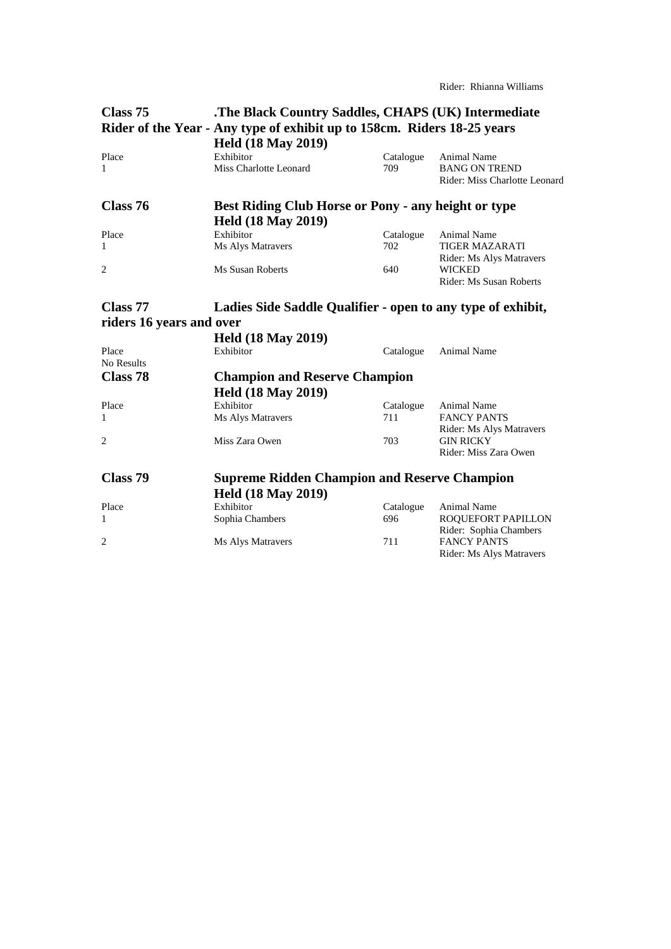Rider: Rhianna Williams

| Class 75                 | The Black Country Saddles, CHAPS (UK) Intermediate<br>Rider of the Year - Any type of exhibit up to 158cm. Riders 18-25 years<br><b>Held (18 May 2019)</b> |                  |                                                                             |
|--------------------------|------------------------------------------------------------------------------------------------------------------------------------------------------------|------------------|-----------------------------------------------------------------------------|
| Place<br>1               | Exhibitor<br>Miss Charlotte Leonard                                                                                                                        | Catalogue<br>709 | <b>Animal Name</b><br><b>BANG ON TREND</b><br>Rider: Miss Charlotte Leonard |
| Class 76                 | Best Riding Club Horse or Pony - any height or type                                                                                                        |                  |                                                                             |
|                          | <b>Held (18 May 2019)</b>                                                                                                                                  |                  |                                                                             |
| Place                    | Exhibitor                                                                                                                                                  | Catalogue        | <b>Animal Name</b>                                                          |
| 1                        | Ms Alys Matravers                                                                                                                                          | 702              | <b>TIGER MAZARATI</b><br>Rider: Ms Alys Matravers                           |
| 2                        | Ms Susan Roberts                                                                                                                                           | 640              | <b>WICKED</b><br>Rider: Ms Susan Roberts                                    |
| Class 77                 | Ladies Side Saddle Qualifier - open to any type of exhibit,                                                                                                |                  |                                                                             |
| riders 16 years and over |                                                                                                                                                            |                  |                                                                             |
|                          | <b>Held (18 May 2019)</b>                                                                                                                                  |                  |                                                                             |
| Place<br>No Results      | Exhibitor                                                                                                                                                  | Catalogue        | <b>Animal Name</b>                                                          |
| Class 78                 | <b>Champion and Reserve Champion</b>                                                                                                                       |                  |                                                                             |
|                          | <b>Held (18 May 2019)</b>                                                                                                                                  |                  |                                                                             |
| Place                    | Exhibitor                                                                                                                                                  | Catalogue        | <b>Animal Name</b>                                                          |
| 1                        | Ms Alys Matravers                                                                                                                                          | 711              | <b>FANCY PANTS</b><br>Rider: Ms Alys Matravers                              |
| $\overline{c}$           | Miss Zara Owen                                                                                                                                             | 703              | <b>GIN RICKY</b><br>Rider: Miss Zara Owen                                   |
| Class 79                 | <b>Supreme Ridden Champion and Reserve Champion</b>                                                                                                        |                  |                                                                             |
|                          | <b>Held (18 May 2019)</b>                                                                                                                                  |                  |                                                                             |
| Place                    | Exhibitor                                                                                                                                                  | Catalogue        | <b>Animal Name</b>                                                          |
| 1                        | Sophia Chambers                                                                                                                                            | 696              | ROQUEFORT PAPILLON<br>Rider: Sophia Chambers                                |
| $\overline{c}$           | Ms Alys Matravers                                                                                                                                          | 711              | <b>FANCY PANTS</b><br>Rider: Ms Alys Matravers                              |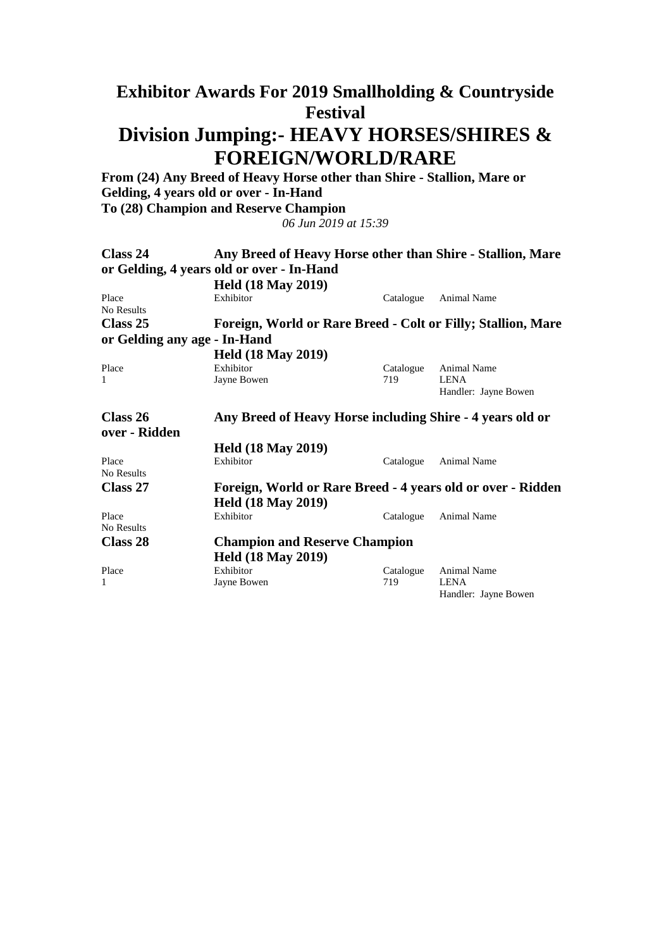# **Division Jumping:- HEAVY HORSES/SHIRES & FOREIGN/WORLD/RARE**

**From (24) Any Breed of Heavy Horse other than Shire - Stallion, Mare or Gelding, 4 years old or over - In-Hand To (28) Champion and Reserve Champion**

| Class 24      |                                                           | Any Breed of Heavy Horse other than Shire - Stallion, Mare |                                                              |  |
|---------------|-----------------------------------------------------------|------------------------------------------------------------|--------------------------------------------------------------|--|
|               | or Gelding, 4 years old or over - In-Hand                 |                                                            |                                                              |  |
|               | <b>Held (18 May 2019)</b>                                 |                                                            |                                                              |  |
| Place         | Exhibitor                                                 | Catalogue                                                  | <b>Animal Name</b>                                           |  |
| No Results    |                                                           |                                                            |                                                              |  |
| Class 25      |                                                           |                                                            | Foreign, World or Rare Breed - Colt or Filly; Stallion, Mare |  |
|               | or Gelding any age - In-Hand                              |                                                            |                                                              |  |
|               | <b>Held (18 May 2019)</b>                                 |                                                            |                                                              |  |
| Place         | Exhibitor                                                 | Catalogue                                                  | <b>Animal Name</b>                                           |  |
| 1             | Jayne Bowen                                               | 719                                                        | <b>LENA</b>                                                  |  |
|               |                                                           |                                                            | Handler: Jayne Bowen                                         |  |
| Class 26      | Any Breed of Heavy Horse including Shire - 4 years old or |                                                            |                                                              |  |
| over - Ridden |                                                           |                                                            |                                                              |  |
|               | <b>Held (18 May 2019)</b>                                 |                                                            |                                                              |  |
| Place         | Exhibitor                                                 | Catalogue                                                  | <b>Animal Name</b>                                           |  |
| No Results    |                                                           |                                                            |                                                              |  |
| Class 27      |                                                           |                                                            | Foreign, World or Rare Breed - 4 years old or over - Ridden  |  |
|               | <b>Held (18 May 2019)</b>                                 |                                                            |                                                              |  |
| Place         | Exhibitor                                                 | Catalogue                                                  | <b>Animal Name</b>                                           |  |
| No Results    |                                                           |                                                            |                                                              |  |
| Class 28      | <b>Champion and Reserve Champion</b>                      |                                                            |                                                              |  |
|               | <b>Held (18 May 2019)</b>                                 |                                                            |                                                              |  |
| Place         | Exhibitor                                                 | Catalogue                                                  | <b>Animal Name</b>                                           |  |
| $\mathbf{1}$  | Jayne Bowen                                               | 719                                                        | <b>LENA</b>                                                  |  |
|               |                                                           |                                                            | Handler: Jayne Bowen                                         |  |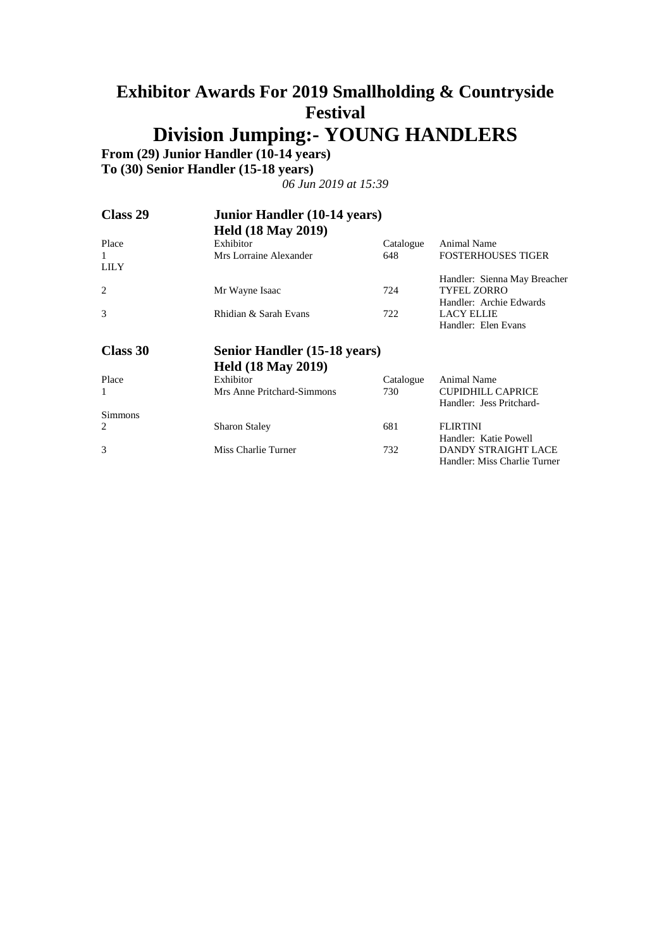**Division Jumping:- YOUNG HANDLERS**

**From (29) Junior Handler (10-14 years)**

**To (30) Senior Handler (15-18 years)**

| Class 29         | <b>Junior Handler (10-14 years)</b> |           |                              |  |
|------------------|-------------------------------------|-----------|------------------------------|--|
|                  | <b>Held (18 May 2019)</b>           |           |                              |  |
| Place            | Exhibitor                           | Catalogue | Animal Name                  |  |
| 1<br><b>LILY</b> | Mrs Lorraine Alexander              | 648       | <b>FOSTERHOUSES TIGER</b>    |  |
|                  |                                     |           | Handler: Sienna May Breacher |  |
| 2                | Mr Wayne Isaac                      | 724       | <b>TYFEL ZORRO</b>           |  |
|                  |                                     |           | Handler: Archie Edwards      |  |
| 3                | Rhidian & Sarah Evans               | 722       | LACY ELLIE                   |  |
|                  |                                     |           | Handler: Elen Evans          |  |
| Class 30         | Senior Handler (15-18 years)        |           |                              |  |
|                  | <b>Held (18 May 2019)</b>           |           |                              |  |
| Place            | Exhibitor                           | Catalogue | <b>Animal Name</b>           |  |
| 1                | Mrs Anne Pritchard-Simmons          | 730       | <b>CUPIDHILL CAPRICE</b>     |  |
|                  |                                     |           | Handler: Jess Pritchard-     |  |
| Simmons          |                                     |           |                              |  |
| 2                | <b>Sharon Staley</b>                | 681       | <b>FLIRTINI</b>              |  |
|                  |                                     |           | Handler: Katie Powell        |  |
| 3                | Miss Charlie Turner                 | 732       | <b>DANDY STRAIGHT LACE</b>   |  |
|                  |                                     |           | Handler: Miss Charlie Turner |  |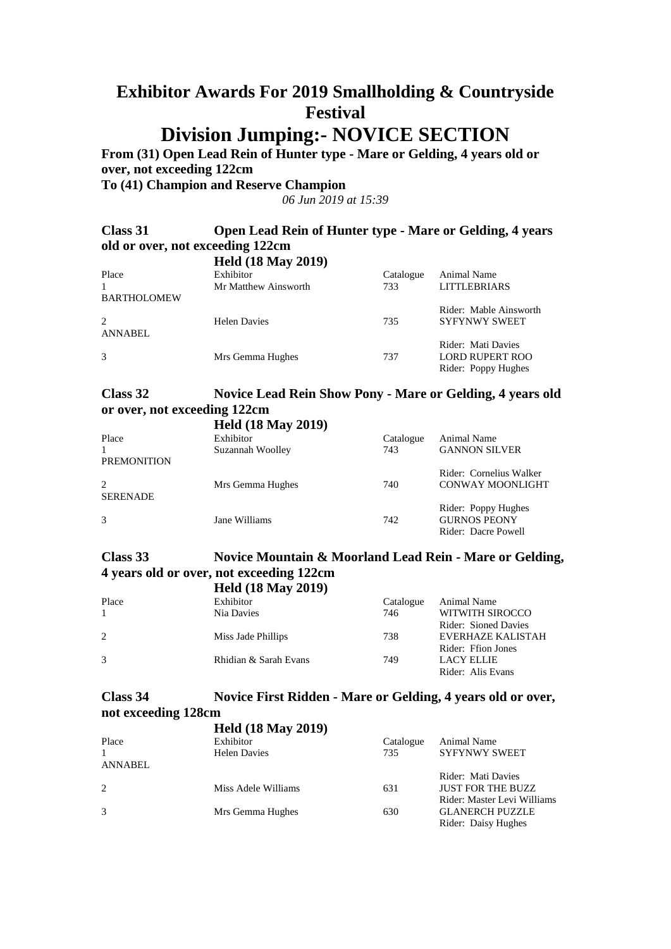### **Division Jumping:- NOVICE SECTION**

**From (31) Open Lead Rein of Hunter type - Mare or Gelding, 4 years old or over, not exceeding 122cm**

**To (41) Champion and Reserve Champion**

*06 Jun 2019 at 15:39*

### **Class 31 Open Lead Rein of Hunter type - Mare or Gelding, 4 years old or over, not exceeding 122cm**

|                    | <b>Held (18 May 2019)</b> |           |                                                |
|--------------------|---------------------------|-----------|------------------------------------------------|
| Place              | Exhibitor                 | Catalogue | <b>Animal Name</b>                             |
|                    | Mr Matthew Ainsworth      | 733       | <b>LITTLEBRIARS</b>                            |
| <b>BARTHOLOMEW</b> |                           |           |                                                |
|                    | <b>Helen Davies</b>       | 735       | Rider: Mable Ainsworth<br><b>SYFYNWY SWEET</b> |
| <b>ANNABEL</b>     |                           |           |                                                |
|                    |                           |           | Rider: Mati Davies                             |
|                    | Mrs Gemma Hughes          | 737       | <b>LORD RUPERT ROO</b>                         |
|                    |                           |           | Rider: Poppy Hughes                            |

### **Class 32 Novice Lead Rein Show Pony - Mare or Gelding, 4 years old or over, not exceeding 122cm**

**Held (18 May 2019)**

| Place              | Exhibitor        | Catalogue | Animal Name             |
|--------------------|------------------|-----------|-------------------------|
|                    | Suzannah Woolley | 743       | <b>GANNON SILVER</b>    |
| <b>PREMONITION</b> |                  |           |                         |
|                    |                  |           | Rider: Cornelius Walker |
| 2                  | Mrs Gemma Hughes | 740       | CONWAY MOONLIGHT        |
| <b>SERENADE</b>    |                  |           |                         |
|                    |                  |           | Rider: Poppy Hughes     |
| 3                  | Jane Williams    | 742       | <b>GURNOS PEONY</b>     |
|                    |                  |           | Rider: Dacre Powell     |

#### **Class 33 Novice Mountain & Moorland Lead Rein - Mare or Gelding, 4 years old or over, not exceeding 122cm Held (18 May 2019)**

|              | 11010 (1010) (101)    |           |                      |
|--------------|-----------------------|-----------|----------------------|
| Place        | Exhibitor             | Catalogue | Animal Name          |
| $\mathbf{1}$ | Nia Davies            | 746       | WITWITH SIROCCO      |
|              |                       |           | Rider: Sioned Davies |
| 2            | Miss Jade Phillips    | 738       | EVERHAZE KALISTAH    |
|              |                       |           | Rider: Ffion Jones   |
|              | Rhidian & Sarah Evans | 749       | <b>LACY ELLIE</b>    |
|              |                       |           | Rider: Alis Evans    |
|              |                       |           |                      |

### **Class 34 Novice First Ridden - Mare or Gelding, 4 years old or over, not exceeding 128cm**

|                | <b>Held (18 May 2019)</b> |           |                             |
|----------------|---------------------------|-----------|-----------------------------|
| Place          | Exhibitor                 | Catalogue | <b>Animal Name</b>          |
|                | <b>Helen Davies</b>       | 735       | <b>SYFYNWY SWEET</b>        |
| <b>ANNABEL</b> |                           |           |                             |
|                |                           |           | Rider: Mati Davies          |
| 2              | Miss Adele Williams       | 631       | <b>JUST FOR THE BUZZ</b>    |
|                |                           |           | Rider: Master Levi Williams |
| 3              | Mrs Gemma Hughes          | 630       | <b>GLANERCH PUZZLE</b>      |
|                |                           |           | Rider: Daisy Hughes         |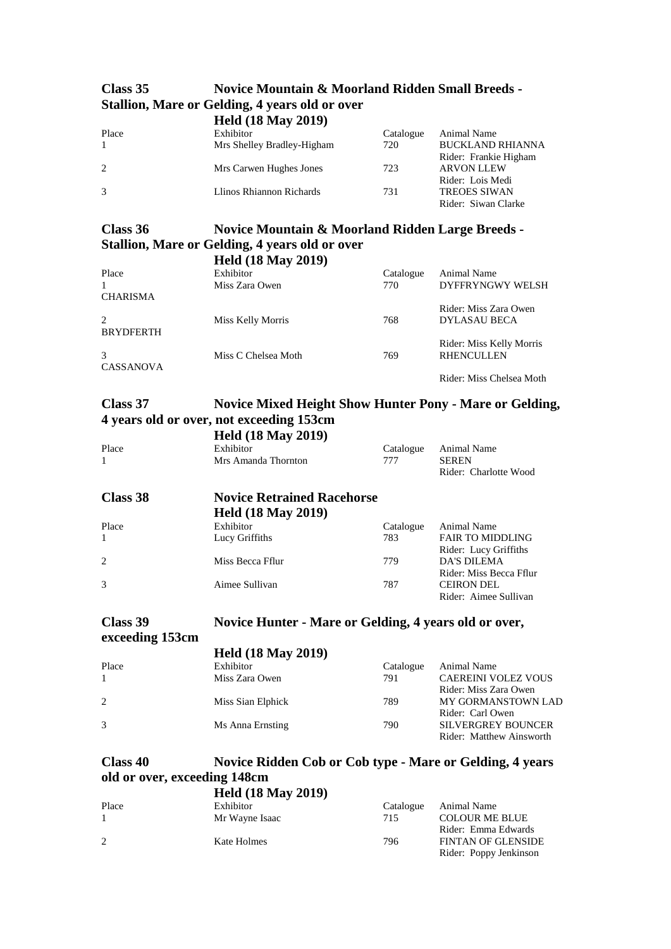#### **Class 35 Novice Mountain & Moorland Ridden Small Breeds - Stallion, Mare or Gelding, 4 years old or over Held (18 May 2019)**

|       | $\frac{1}{2}$              |           |                         |
|-------|----------------------------|-----------|-------------------------|
| Place | Exhibitor                  | Catalogue | Animal Name             |
|       | Mrs Shelley Bradley-Higham | 720       | <b>BUCKLAND RHIANNA</b> |
|       |                            |           | Rider: Frankie Higham   |
| 2     | Mrs Carwen Hughes Jones    | 723       | <b>ARVON LLEW</b>       |
|       |                            |           | Rider: Lois Medi        |
| 3     | Llinos Rhiannon Richards   | 731       | <b>TREOES SIWAN</b>     |
|       |                            |           | Rider: Siwan Clarke     |

#### **Class 36 Novice Mountain & Moorland Ridden Large Breeds - Stallion, Mare or Gelding, 4 years old or over** , , , , , <u>, , ,</u><br>10 мл.

|                  | $H$ eld (18 May 2019) |           |                          |
|------------------|-----------------------|-----------|--------------------------|
| Place            | Exhibitor             | Catalogue | Animal Name              |
|                  | Miss Zara Owen        | 770       | DYFFRYNGWY WELSH         |
| <b>CHARISMA</b>  |                       |           |                          |
|                  |                       |           | Rider: Miss Zara Owen    |
| 2                | Miss Kelly Morris     | 768       | <b>DYLASAU BECA</b>      |
| <b>BRYDFERTH</b> |                       |           |                          |
|                  |                       |           | Rider: Miss Kelly Morris |
|                  | Miss C Chelsea Moth   | 769       | <b>RHENCULLEN</b>        |
| CASSANOVA        |                       |           |                          |
|                  |                       |           | Rider: Miss Chelsea Moth |

### **Class 37 Novice Mixed Height Show Hunter Pony - Mare or Gelding, 4 years old or over, not exceeding 153cm**

| Place        | <b>Held (18 May 2019)</b><br>Exhibitor | Catalogue | Animal Name                           |
|--------------|----------------------------------------|-----------|---------------------------------------|
| $\mathbf{1}$ | Mrs Amanda Thornton                    | 777       | <b>SEREN</b><br>Rider: Charlotte Wood |
| Class 38     | <b>Novice Retrained Racehorse</b>      |           |                                       |
|              | <b>Held (18 May 2019)</b>              |           |                                       |
| Place        | Exhibitor                              | Catalogue | Animal Name                           |
| $\mathbf{1}$ | Lucy Griffiths                         | 783       | <b>FAIR TO MIDDLING</b>               |
|              |                                        |           | Rider: Lucy Griffiths                 |
| 2            | Miss Becca Fflur                       | 779       | <b>DA'S DILEMA</b>                    |
|              |                                        |           | Rider: Miss Becca Fflur               |
| 3            | Aimee Sullivan                         | 787       | <b>CEIRON DEL</b>                     |

### **Class 39 Novice Hunter - Mare or Gelding, 4 years old or over, exceeding 153cm**

|              | <b>Held (18 May 2019)</b> |           |                            |
|--------------|---------------------------|-----------|----------------------------|
| Place        | Exhibitor                 | Catalogue | Animal Name                |
| $\mathbf{1}$ | Miss Zara Owen            | 791       | <b>CAEREINI VOLEZ VOUS</b> |
|              |                           |           | Rider: Miss Zara Owen      |
| 2            | Miss Sian Elphick         | 789       | <b>MY GORMANSTOWN LAD</b>  |
|              |                           |           | Rider: Carl Owen           |
|              | Ms Anna Ernsting          | 790       | <b>SILVERGREY BOUNCER</b>  |
|              |                           |           | Rider: Matthew Ainsworth   |

Rider: Aimee Sullivan

### **Class 40 Novice Ridden Cob or Cob type - Mare or Gelding, 4 years old or over, exceeding 148cm**

|       | <b>Held (18 May 2019)</b> |           |                           |
|-------|---------------------------|-----------|---------------------------|
| Place | Exhibitor                 | Catalogue | Animal Name               |
|       | Mr Wayne Isaac            | 715       | <b>COLOUR ME BLUE</b>     |
|       |                           |           | Rider: Emma Edwards       |
|       | Kate Holmes               | 796       | <b>FINTAN OF GLENSIDE</b> |
|       |                           |           | Rider: Poppy Jenkinson    |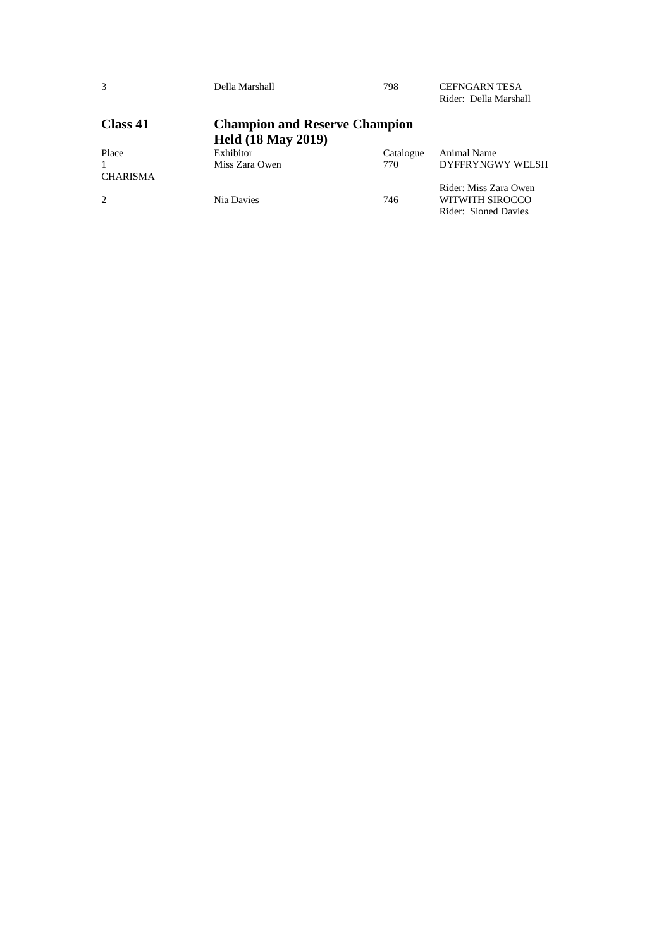| $\mathcal{R}$   | Della Marshall                       | 798       | <b>CEFNGARN TESA</b><br>Rider: Della Marshall |
|-----------------|--------------------------------------|-----------|-----------------------------------------------|
| Class 41        | <b>Champion and Reserve Champion</b> |           |                                               |
|                 | <b>Held (18 May 2019)</b>            |           |                                               |
| Place           | Exhibitor                            | Catalogue | Animal Name                                   |
|                 | Miss Zara Owen                       | 770       | DYFFRYNGWY WELSH                              |
| <b>CHARISMA</b> |                                      |           |                                               |
|                 |                                      |           | Rider: Miss Zara Owen                         |
| 2               | Nia Davies                           | 746       | WITWITH SIROCCO                               |
|                 |                                      |           | Rider: Sioned Davies                          |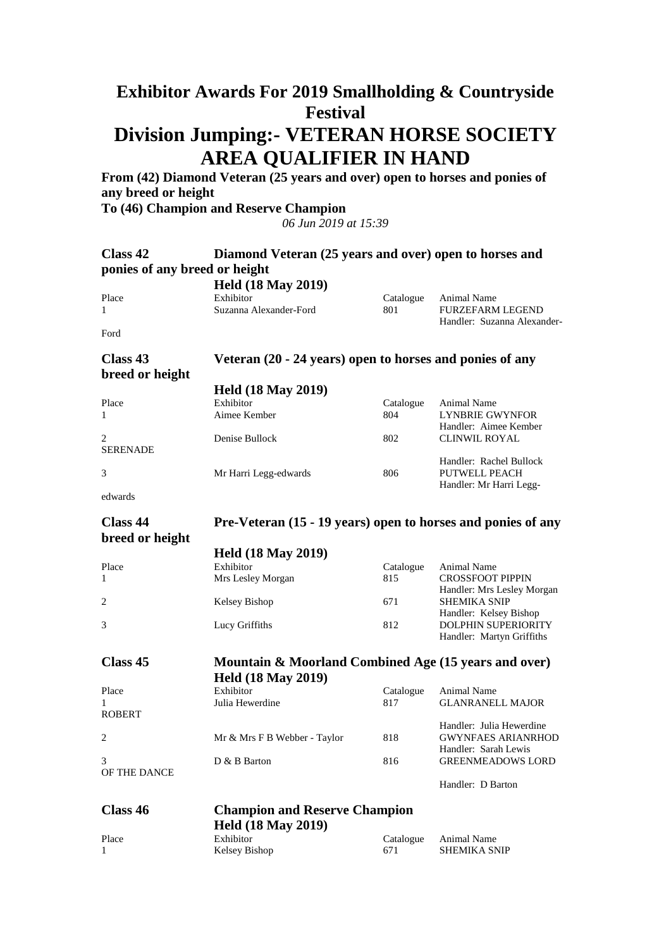# **Division Jumping:- VETERAN HORSE SOCIETY AREA QUALIFIER IN HAND**

**From (42) Diamond Veteran (25 years and over) open to horses and ponies of any breed or height To (46) Champion and Reserve Champion**

| <b>Class 42</b>               | Diamond Veteran (25 years and over) open to horses and       |           |                                                  |  |
|-------------------------------|--------------------------------------------------------------|-----------|--------------------------------------------------|--|
| ponies of any breed or height |                                                              |           |                                                  |  |
|                               | <b>Held (18 May 2019)</b>                                    |           |                                                  |  |
| Place                         | Exhibitor                                                    | Catalogue | Animal Name                                      |  |
| 1                             | Suzanna Alexander-Ford                                       | 801       | <b>FURZEFARM LEGEND</b>                          |  |
|                               |                                                              |           | Handler: Suzanna Alexander-                      |  |
| Ford                          |                                                              |           |                                                  |  |
| Class 43                      | Veteran (20 - 24 years) open to horses and ponies of any     |           |                                                  |  |
| breed or height               |                                                              |           |                                                  |  |
|                               | <b>Held (18 May 2019)</b>                                    |           |                                                  |  |
| Place                         | Exhibitor                                                    | Catalogue | Animal Name                                      |  |
| 1                             | Aimee Kember                                                 | 804       | LYNBRIE GWYNFOR                                  |  |
|                               |                                                              |           | Handler: Aimee Kember                            |  |
| 2                             | Denise Bullock                                               | 802       | <b>CLINWIL ROYAL</b>                             |  |
| <b>SERENADE</b>               |                                                              |           |                                                  |  |
|                               |                                                              |           | Handler: Rachel Bullock                          |  |
| 3                             | Mr Harri Legg-edwards                                        | 806       | <b>PUTWELL PEACH</b><br>Handler: Mr Harri Legg-  |  |
| edwards                       |                                                              |           |                                                  |  |
|                               |                                                              |           |                                                  |  |
| Class 44                      | Pre-Veteran (15 - 19 years) open to horses and ponies of any |           |                                                  |  |
| breed or height               |                                                              |           |                                                  |  |
|                               | <b>Held (18 May 2019)</b>                                    |           |                                                  |  |
| Place                         | Exhibitor                                                    | Catalogue | Animal Name                                      |  |
| 1                             | Mrs Lesley Morgan                                            | 815       | <b>CROSSFOOT PIPPIN</b>                          |  |
|                               |                                                              |           | Handler: Mrs Lesley Morgan                       |  |
| 2                             | Kelsey Bishop                                                | 671       | <b>SHEMIKA SNIP</b>                              |  |
|                               |                                                              |           | Handler: Kelsey Bishop                           |  |
| 3                             | Lucy Griffiths                                               | 812       | <b>DOLPHIN SUPERIORITY</b>                       |  |
|                               |                                                              |           | Handler: Martyn Griffiths                        |  |
| Class 45                      | Mountain & Moorland Combined Age (15 years and over)         |           |                                                  |  |
|                               | <b>Held (18 May 2019)</b>                                    |           |                                                  |  |
| Place                         | Exhibitor                                                    | Catalogue | Animal Name                                      |  |
| 1                             | Julia Hewerdine                                              | 817       | <b>GLANRANELL MAJOR</b>                          |  |
| <b>ROBERT</b>                 |                                                              |           |                                                  |  |
|                               |                                                              |           | Handler: Julia Hewerdine                         |  |
| $\overline{c}$                | Mr & Mrs F B Webber - Taylor                                 | 818       | <b>GWYNFAES ARIANRHOD</b>                        |  |
| 3                             | D & B Barton                                                 |           | Handler: Sarah Lewis<br><b>GREENMEADOWS LORD</b> |  |
| OF THE DANCE                  |                                                              | 816       |                                                  |  |
|                               |                                                              |           | Handler: D Barton                                |  |
| Class 46                      | <b>Champion and Reserve Champion</b>                         |           |                                                  |  |
|                               | <b>Held (18 May 2019)</b>                                    |           |                                                  |  |
| Place                         | Exhibitor                                                    | Catalogue | Animal Name                                      |  |
| 1                             | Kelsey Bishop                                                | 671       | <b>SHEMIKA SNIP</b>                              |  |
|                               |                                                              |           |                                                  |  |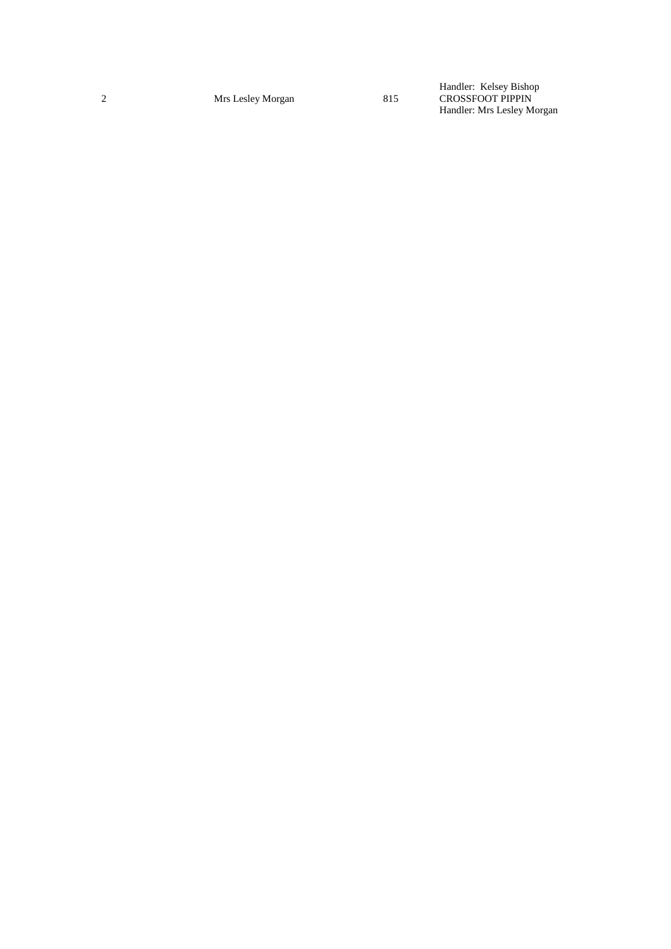Handler: Kelsey Bishop 2 Mrs Lesley Morgan 815 CROSSFOOT PIPPIN Handler: Mrs Lesley Morgan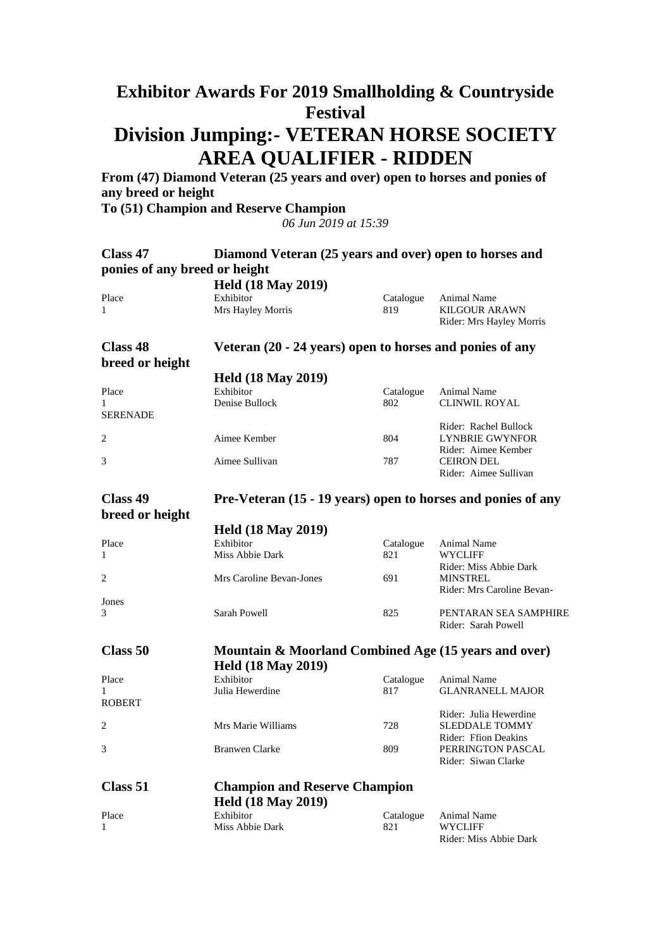# **Division Jumping:- VETERAN HORSE SOCIETY AREA QUALIFIER - RIDDEN**

**From (47) Diamond Veteran (25 years and over) open to horses and ponies of any breed or height To (51) Champion and Reserve Champion**

*06 Jun 2019 at 15:39*

| Class 47                           | Diamond Veteran (25 years and over) open to horses and   |           |                                                  |
|------------------------------------|----------------------------------------------------------|-----------|--------------------------------------------------|
| ponies of any breed or height      |                                                          |           |                                                  |
|                                    | <b>Held (18 May 2019)</b>                                |           |                                                  |
| Place                              | Exhibitor                                                | Catalogue | <b>Animal Name</b>                               |
| $\mathbf{1}$                       | Mrs Hayley Morris                                        | 819       | <b>KILGOUR ARAWN</b><br>Rider: Mrs Hayley Morris |
| <b>Class 48</b><br>breed or height | Veteran (20 - 24 years) open to horses and ponies of any |           |                                                  |

|                 | <b>Held (18 May 2019)</b> |           |                        |
|-----------------|---------------------------|-----------|------------------------|
| Place           | Exhibitor                 | Catalogue | Animal Name            |
|                 | Denise Bullock            | 802       | <b>CLINWIL ROYAL</b>   |
| <b>SERENADE</b> |                           |           |                        |
|                 |                           |           | Rider: Rachel Bullock  |
| 2               | Aimee Kember              | 804       | <b>LYNBRIE GWYNFOR</b> |
|                 |                           |           | Rider: Aimee Kember    |
| 3               | Aimee Sullivan            | 787       | <b>CEIRON DEL</b>      |
|                 |                           |           | Rider: Aimee Sullivan  |

**breed or height**

### **Class 49 Pre-Veteran (15 - 19 years) open to horses and ponies of any**

Rider: Miss Abbie Dark

| ortu or nught |                           |           |                            |
|---------------|---------------------------|-----------|----------------------------|
|               | <b>Held (18 May 2019)</b> |           |                            |
| Place         | Exhibitor                 | Catalogue | Animal Name                |
|               | Miss Abbie Dark           | 821       | <b>WYCLIFF</b>             |
|               |                           |           | Rider: Miss Abbie Dark     |
|               | Mrs Caroline Bevan-Jones  | 691       | <b>MINSTREL</b>            |
|               |                           |           | Rider: Mrs Caroline Bevan- |
|               |                           |           |                            |

### Jones 3 Sarah Powell 825 PENTARAN SEA SAMPHIRE Rider: Sarah Powell **Class 50 Mountain & Moorland Combined Age (15 years and over)**

|               | <b>Held (18 May 2019)</b> |           |                         |
|---------------|---------------------------|-----------|-------------------------|
| Place         | Exhibitor                 | Catalogue | <b>Animal Name</b>      |
| 1             | Julia Hewerdine           | 817       | <b>GLANRANELL MAJOR</b> |
| <b>ROBERT</b> |                           |           |                         |
|               |                           |           | Rider: Julia Hewerdine  |
| 2             | Mrs Marie Williams        | 728       | <b>SLEDDALE TOMMY</b>   |
|               |                           |           | Rider: Ffion Deakins    |
|               | Branwen Clarke            | 809       | PERRINGTON PASCAL       |
|               |                           |           | Rider: Siwan Clarke     |

#### **Class 51 Champion and Reserve Champion Held (18 May 2019)** Place Exhibitor Exhibitor Catalogue Animal Name 1 Miss Abbie Dark 821 WYCLIFF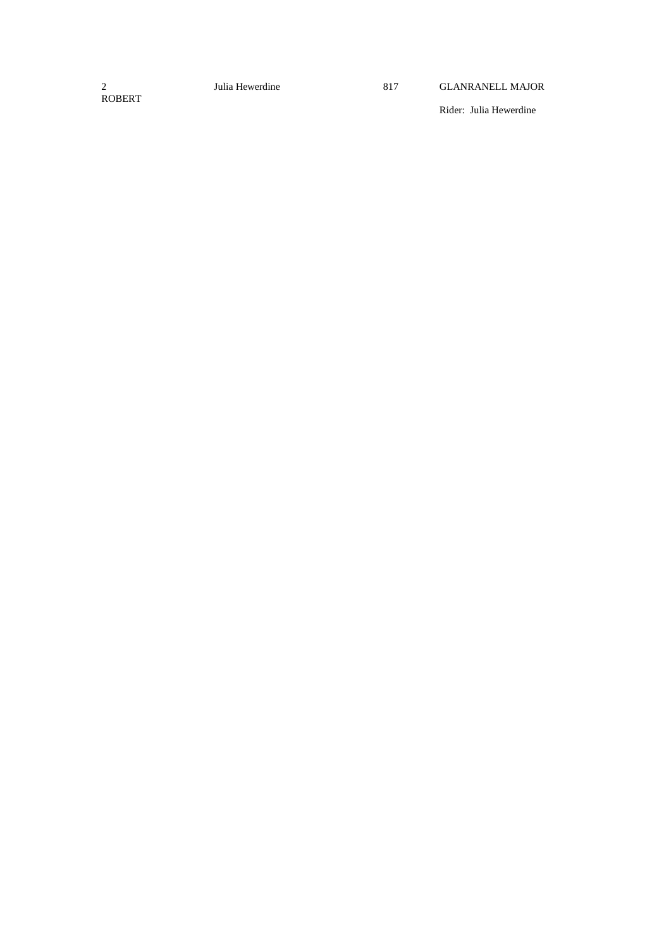2<br>ROBERT

2 Julia Hewerdine 817 GLANRANELL MAJOR

Rider: Julia Hewerdine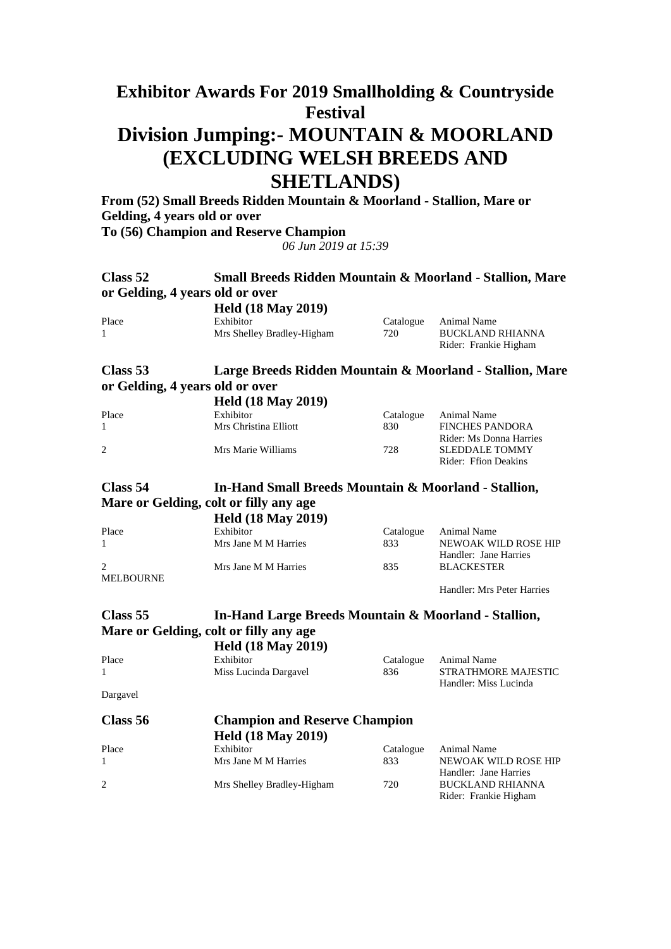# **Division Jumping:- MOUNTAIN & MOORLAND (EXCLUDING WELSH BREEDS AND SHETLANDS)**

**From (52) Small Breeds Ridden Mountain & Moorland - Stallion, Mare or Gelding, 4 years old or over To (56) Champion and Reserve Champion**

*06 Jun 2019 at 15:39*

#### **Class 52 Small Breeds Ridden Mountain & Moorland - Stallion, Mare or Gelding, 4 years old or over Held (18 May 2019)**

|       | <b>IICHU</b> (IO ING) $2017$ |     |                       |
|-------|------------------------------|-----|-----------------------|
| Place | Exhibitor                    |     | Catalogue Animal Name |
|       | Mrs Shelley Bradley-Higham   | 720 | BUCKLAND RHIANNA      |
|       |                              |     | Rider: Frankie Higham |

#### **Class 53 Large Breeds Ridden Mountain & Moorland - Stallion, Mare or Gelding, 4 years old or over Held (18 May 2019)**

| $11014 (10114) = 017$ |     |                         |
|-----------------------|-----|-------------------------|
| Exhibitor             |     | Animal Name             |
| Mrs Christina Elliott | 830 | <b>FINCHES PANDORA</b>  |
|                       |     | Rider: Ms Donna Harries |
| Mrs Marie Williams    | 728 | SLEDDALE TOMMY          |
|                       |     | Rider: Ffion Deakins    |
|                       |     | Catalogue               |

### **Class 54 In-Hand Small Breeds Mountain & Moorland - Stallion, Mare or Gelding, colt or filly any age**

|                  | <b>Held (18 May 2019)</b> |           |                                               |
|------------------|---------------------------|-----------|-----------------------------------------------|
| Place            | Exhibitor                 | Catalogue | Animal Name                                   |
|                  | Mrs Jane M M Harries      | 833       | NEWOAK WILD ROSE HIP<br>Handler: Jane Harries |
| <b>MELBOURNE</b> | Mrs Jane M M Harries      | 835       | <b>BLACKESTER</b>                             |
|                  |                           |           | Handler: Mrs Peter Harries                    |

### **Class 55 In-Hand Large Breeds Mountain & Moorland - Stallion, Mare or Gelding, colt or filly any age**

|               | <b>Held (18 May 2019)</b>            |           |                                                     |
|---------------|--------------------------------------|-----------|-----------------------------------------------------|
| Place         | Exhibitor                            | Catalogue | Animal Name                                         |
| $\mathbf{1}$  | Miss Lucinda Dargavel                | 836       | <b>STRATHMORE MAJESTIC</b><br>Handler: Miss Lucinda |
| Dargavel      |                                      |           |                                                     |
| Class 56      | <b>Champion and Reserve Champion</b> |           |                                                     |
|               | <b>Held (18 May 2019)</b>            |           |                                                     |
| $\mathbf{D1}$ | 1.1111                               |           | $C+1$ $A+1$                                         |

| Place | Exhibitor                  | Catalogue | Animal Name             |
|-------|----------------------------|-----------|-------------------------|
|       | Mrs Jane M M Harries       | 833       | NEWOAK WILD ROSE HIP    |
|       |                            |           | Handler: Jane Harries   |
|       | Mrs Shelley Bradley-Higham | 720       | <b>BUCKLAND RHIANNA</b> |
|       |                            |           | Rider: Frankie Higham   |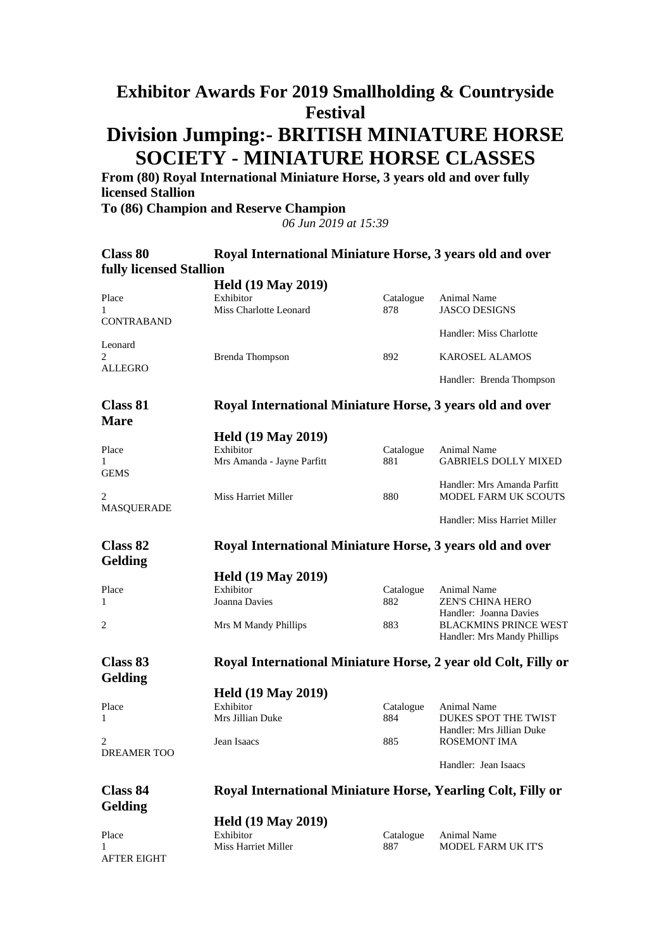# **Division Jumping:- BRITISH MINIATURE HORSE SOCIETY - MINIATURE HORSE CLASSES**

**From (80) Royal International Miniature Horse, 3 years old and over fully licensed Stallion To (86) Champion and Reserve Champion**

*06 Jun 2019 at 15:39*

**Class 80 Royal International Miniature Horse, 3 years old and over fully licensed Stallion**

| Tuny ncenseu stamon     |                                                                |           |                                                                                       |
|-------------------------|----------------------------------------------------------------|-----------|---------------------------------------------------------------------------------------|
|                         | <b>Held (19 May 2019)</b>                                      |           |                                                                                       |
| Place                   | Exhibitor                                                      | Catalogue | Animal Name                                                                           |
| 1<br><b>CONTRABAND</b>  | Miss Charlotte Leonard                                         | 878       | <b>JASCO DESIGNS</b>                                                                  |
| Leonard                 |                                                                |           | Handler: Miss Charlotte                                                               |
| 2                       | Brenda Thompson                                                | 892       | <b>KAROSEL ALAMOS</b>                                                                 |
| <b>ALLEGRO</b>          |                                                                |           | Handler: Brenda Thompson                                                              |
| Class 81                | Royal International Miniature Horse, 3 years old and over      |           |                                                                                       |
| <b>Mare</b>             |                                                                |           |                                                                                       |
|                         | <b>Held (19 May 2019)</b>                                      |           |                                                                                       |
| Place                   | Exhibitor                                                      | Catalogue | Animal Name                                                                           |
| 1<br><b>GEMS</b>        | Mrs Amanda - Jayne Parfitt                                     | 881       | <b>GABRIELS DOLLY MIXED</b>                                                           |
| 2                       | Miss Harriet Miller                                            | 880       | Handler: Mrs Amanda Parfitt<br><b>MODEL FARM UK SCOUTS</b>                            |
| <b>MASQUERADE</b>       |                                                                |           |                                                                                       |
|                         |                                                                |           | Handler: Miss Harriet Miller                                                          |
| Class 82<br>Gelding     | Royal International Miniature Horse, 3 years old and over      |           |                                                                                       |
|                         | <b>Held (19 May 2019)</b>                                      |           |                                                                                       |
| Place                   | Exhibitor                                                      | Catalogue | Animal Name                                                                           |
| $\mathbf{1}$            | Joanna Davies                                                  | 882       | <b>ZEN'S CHINA HERO</b>                                                               |
| $\overline{2}$          | Mrs M Mandy Phillips                                           | 883       | Handler: Joanna Davies<br><b>BLACKMINS PRINCE WEST</b><br>Handler: Mrs Mandy Phillips |
| Class 83<br>Gelding     | Royal International Miniature Horse, 2 year old Colt, Filly or |           |                                                                                       |
|                         | <b>Held (19 May 2019)</b>                                      |           |                                                                                       |
| Place                   | Exhibitor                                                      | Catalogue | Animal Name                                                                           |
| 1                       | Mrs Jillian Duke                                               | 884       | DUKES SPOT THE TWIST<br>Handler: Mrs Jillian Duke                                     |
| 2<br><b>DREAMER TOO</b> | Jean Isaacs                                                    | 885       | <b>ROSEMONT IMA</b>                                                                   |
|                         |                                                                |           | Handler: Jean Isaacs                                                                  |
| Class 84<br>Gelding     | Royal International Miniature Horse, Yearling Colt, Filly or   |           |                                                                                       |
|                         | <b>Held (19 May 2019)</b>                                      |           |                                                                                       |
| Place                   | Exhibitor                                                      | Catalogue | Animal Name                                                                           |
| 1                       | Miss Harriet Miller                                            | 887       | <b>MODEL FARM UK IT'S</b>                                                             |
| <b>AFTER EIGHT</b>      |                                                                |           |                                                                                       |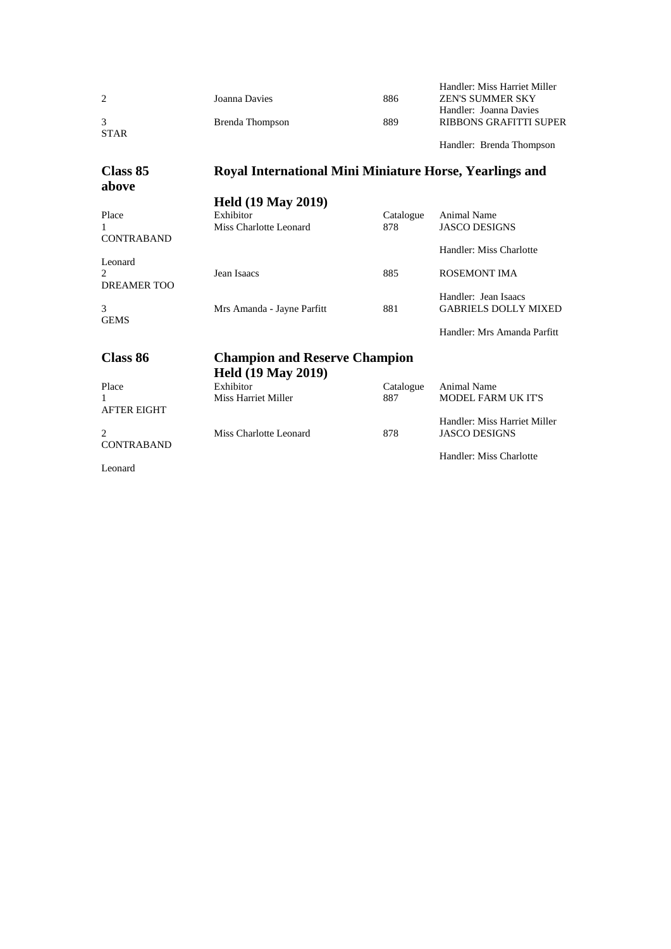| 2                                                | Joanna Davies                                                     | 886              | Handler: Miss Harriet Miller<br><b>ZEN'S SUMMER SKY</b><br>Handler: Joanna Davies |
|--------------------------------------------------|-------------------------------------------------------------------|------------------|-----------------------------------------------------------------------------------|
| 3<br><b>STAR</b>                                 | <b>Brenda Thompson</b>                                            | 889              | RIBBONS GRAFITTI SUPER                                                            |
|                                                  |                                                                   |                  | Handler: Brenda Thompson                                                          |
| Class 85<br>above                                | Royal International Mini Miniature Horse, Yearlings and           |                  |                                                                                   |
|                                                  | <b>Held (19 May 2019)</b>                                         |                  |                                                                                   |
| Place<br>1<br><b>CONTRABAND</b>                  | Exhibitor<br>Miss Charlotte Leonard                               | Catalogue<br>878 | <b>Animal Name</b><br><b>JASCO DESIGNS</b>                                        |
|                                                  |                                                                   |                  | Handler: Miss Charlotte                                                           |
| Leonard<br>2.<br>DREAMER TOO                     | Jean Isaacs                                                       | 885              | <b>ROSEMONT IMA</b>                                                               |
| $\mathcal{F}$<br><b>GEMS</b>                     | Mrs Amanda - Jayne Parfitt                                        | 881              | Handler: Jean Isaacs<br><b>GABRIELS DOLLY MIXED</b>                               |
|                                                  |                                                                   |                  | Handler: Mrs Amanda Parfitt                                                       |
| Class 86                                         | <b>Champion and Reserve Champion</b><br><b>Held (19 May 2019)</b> |                  |                                                                                   |
| Place<br><b>AFTER EIGHT</b>                      | Exhibitor<br><b>Miss Harriet Miller</b>                           | Catalogue<br>887 | <b>Animal Name</b><br><b>MODEL FARM UK IT'S</b>                                   |
| $\mathcal{D}_{\mathcal{L}}$<br><b>CONTRABAND</b> | Miss Charlotte Leonard                                            | 878              | Handler: Miss Harriet Miller<br><b>JASCO DESIGNS</b>                              |
| Leonard                                          |                                                                   |                  | Handler: Miss Charlotte                                                           |
|                                                  |                                                                   |                  |                                                                                   |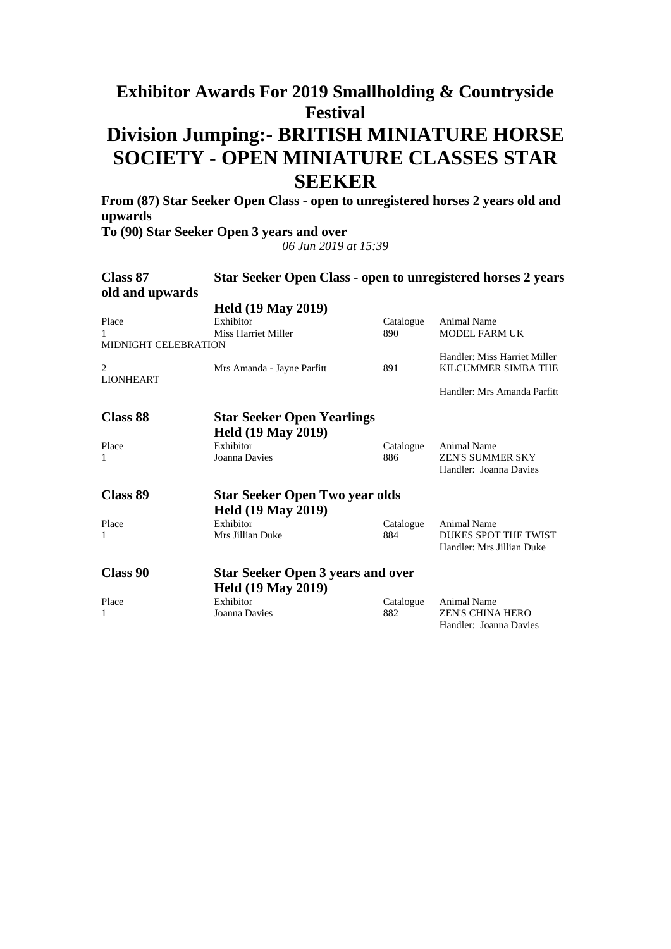# **Division Jumping:- BRITISH MINIATURE HORSE SOCIETY - OPEN MINIATURE CLASSES STAR SEEKER**

**From (87) Star Seeker Open Class - open to unregistered horses 2 years old and upwards To (90) Star Seeker Open 3 years and over**

| Class 87<br>old and upwards | Star Seeker Open Class - open to unregistered horses 2 years |                  |                              |
|-----------------------------|--------------------------------------------------------------|------------------|------------------------------|
|                             | <b>Held (19 May 2019)</b>                                    |                  |                              |
| Place                       | Exhibitor                                                    | Catalogue        | <b>Animal Name</b>           |
| 1                           | Miss Harriet Miller                                          | 890              | <b>MODEL FARM UK</b>         |
| <b>MIDNIGHT CELEBRATION</b> |                                                              |                  |                              |
|                             |                                                              |                  | Handler: Miss Harriet Miller |
| 2                           | Mrs Amanda - Jayne Parfitt                                   | 891              | KILCUMMER SIMBA THE          |
| <b>LIONHEART</b>            |                                                              |                  | Handler: Mrs Amanda Parfitt  |
|                             |                                                              |                  |                              |
| <b>Class 88</b>             | <b>Star Seeker Open Yearlings</b>                            |                  |                              |
|                             | <b>Held (19 May 2019)</b>                                    |                  |                              |
| Place                       | Exhibitor                                                    | Catalogue        | <b>Animal Name</b>           |
| 1                           | Joanna Davies                                                | 886              | <b>ZEN'S SUMMER SKY</b>      |
|                             |                                                              |                  | Handler: Joanna Davies       |
|                             |                                                              |                  |                              |
| <b>Class 89</b>             | <b>Star Seeker Open Two year olds</b>                        |                  |                              |
|                             | <b>Held (19 May 2019)</b>                                    |                  |                              |
| Place                       | Exhibitor                                                    | Catalogue        | <b>Animal Name</b>           |
| 1                           | Mrs Jillian Duke                                             | 884              | <b>DUKES SPOT THE TWIST</b>  |
|                             |                                                              |                  | Handler: Mrs Jillian Duke    |
| Class 90                    | <b>Star Seeker Open 3 years and over</b>                     |                  |                              |
|                             |                                                              |                  |                              |
| Place                       | <b>Held (19 May 2019)</b><br>Exhibitor                       |                  | <b>Animal Name</b>           |
| 1                           | Joanna Davies                                                | Catalogue<br>882 | <b>ZEN'S CHINA HERO</b>      |
|                             |                                                              |                  | Handler: Joanna Davies       |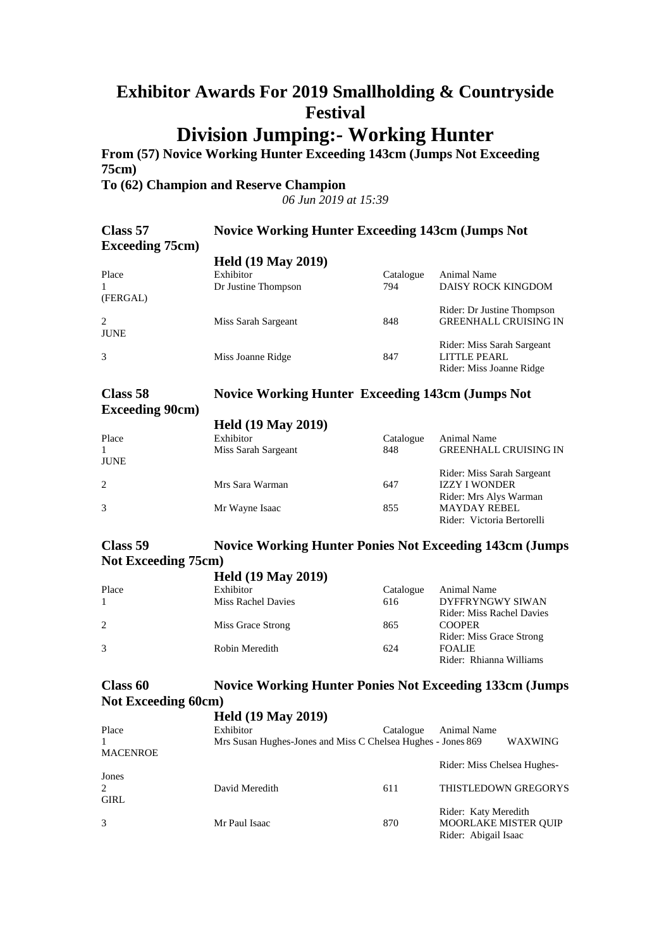# **Division Jumping:- Working Hunter**

**From (57) Novice Working Hunter Exceeding 143cm (Jumps Not Exceeding 75cm)**

**To (62) Champion and Reserve Champion**

*06 Jun 2019 at 15:39*

| Class 57                | <b>Novice Working Hunter Exceeding 143cm (Jumps Not</b> |           |                              |
|-------------------------|---------------------------------------------------------|-----------|------------------------------|
| <b>Exceeding 75cm</b> ) |                                                         |           |                              |
|                         | <b>Held (19 May 2019)</b>                               |           |                              |
| Place                   | Exhibitor                                               | Catalogue | Animal Name                  |
|                         | Dr Justine Thompson                                     | 794       | DAISY ROCK KINGDOM           |
| (FERGAL)                |                                                         |           |                              |
|                         |                                                         |           | Rider: Dr Justine Thompson   |
| 2                       | Miss Sarah Sargeant                                     | 848       | <b>GREENHALL CRUISING IN</b> |
| <b>JUNE</b>             |                                                         |           |                              |
|                         |                                                         |           | Rider: Miss Sarah Sargeant   |
| 3                       | Miss Joanne Ridge                                       | 847       | LITTLE PEARL                 |
|                         |                                                         |           | Rider: Miss Joanne Ridge     |
|                         |                                                         |           |                              |

**Class 58 Novice Working Hunter Exceeding 143cm (Jumps Not Exceeding 90cm)**

|               | <b>Held (19 May 2019)</b> |
|---------------|---------------------------|
| $E_v$ hihitor |                           |

| Place       | Exhibitor           | Catalogue | Animal Name                  |
|-------------|---------------------|-----------|------------------------------|
|             | Miss Sarah Sargeant | 848       | <b>GREENHALL CRUISING IN</b> |
| <b>JUNE</b> |                     |           |                              |
|             |                     |           | Rider: Miss Sarah Sargeant   |
| 2           | Mrs Sara Warman     | 647       | <b>IZZY I WONDER</b>         |
|             |                     |           | Rider: Mrs Alys Warman       |
| 3           | Mr Wayne Isaac      | 855       | <b>MAYDAY REBEL</b>          |
|             |                     |           | Rider: Victoria Bertorelli   |

### **Class 59 Novice Working Hunter Ponies Not Exceeding 143cm (Jumps Not Exceeding 75cm)**

|              | <b>Held (19 May 2019)</b> |           |                           |
|--------------|---------------------------|-----------|---------------------------|
| Place        | Exhibitor                 | Catalogue | Animal Name               |
| $\mathbf{1}$ | <b>Miss Rachel Davies</b> | 616       | DYFFRYNGWY SIWAN          |
|              |                           |           | Rider: Miss Rachel Davies |
| 2            | Miss Grace Strong         | 865       | <b>COOPER</b>             |
|              |                           |           | Rider: Miss Grace Strong  |
| 3            | Robin Meredith            | 624       | <b>FOALIE</b>             |
|              |                           |           | Rider: Rhianna Williams   |

### **Class 60 Novice Working Hunter Ponies Not Exceeding 133cm (Jumps Not Exceeding 60cm)**

|                 | <b>Held (19 May 2019)</b>                                    |           |                             |                      |  |  |
|-----------------|--------------------------------------------------------------|-----------|-----------------------------|----------------------|--|--|
| Place           | Exhibitor                                                    | Catalogue | Animal Name                 |                      |  |  |
|                 | Mrs Susan Hughes-Jones and Miss C Chelsea Hughes - Jones 869 |           |                             | WAXWING              |  |  |
| <b>MACENROE</b> |                                                              |           | Rider: Miss Chelsea Hughes- |                      |  |  |
| Jones           |                                                              |           |                             |                      |  |  |
| 2               | David Meredith                                               | 611       |                             | THISTLEDOWN GREGORYS |  |  |
| <b>GIRL</b>     |                                                              |           |                             |                      |  |  |
|                 |                                                              |           | Rider: Katy Meredith        |                      |  |  |
| 3               | Mr Paul Isaac                                                | 870       | <b>MOORLAKE MISTER OUIP</b> |                      |  |  |
|                 |                                                              |           | Rider: Abigail Isaac        |                      |  |  |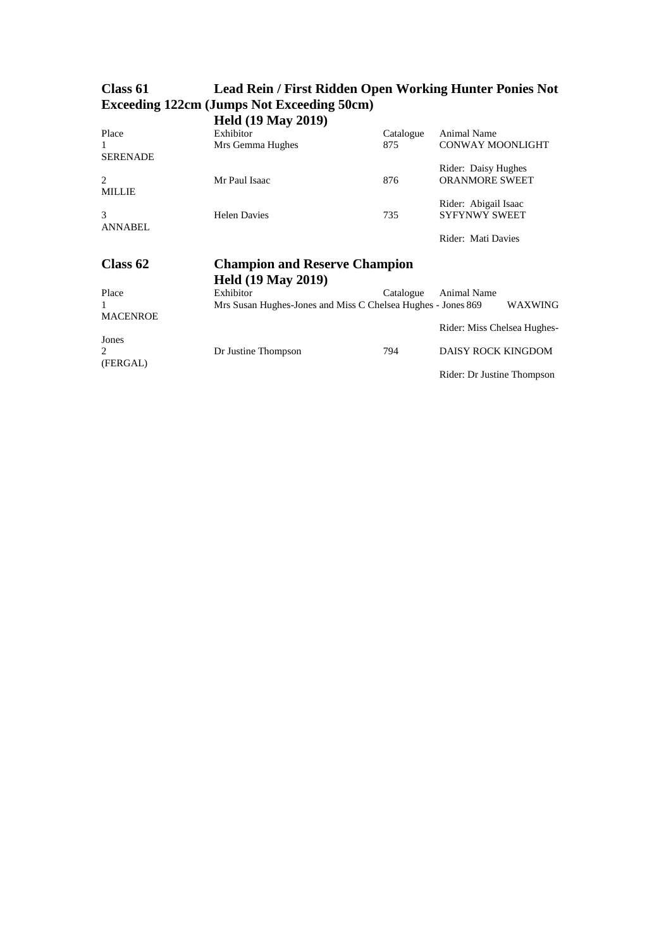|                                       | <b>Held (19 May 2019)</b>                                    |           |                             |
|---------------------------------------|--------------------------------------------------------------|-----------|-----------------------------|
| Place                                 | Exhibitor                                                    | Catalogue | <b>Animal Name</b>          |
| <b>SERENADE</b>                       | Mrs Gemma Hughes                                             | 875       | CONWAY MOONLIGHT            |
|                                       |                                                              |           | Rider: Daisy Hughes         |
| $\mathcal{D}_{\mathcal{L}}$<br>MILLIE | Mr Paul Isaac                                                | 876       | <b>ORANMORE SWEET</b>       |
|                                       |                                                              |           | Rider: Abigail Isaac        |
| 3<br>ANNABEL                          | <b>Helen Davies</b>                                          | 735       | <b>SYFYNWY SWEET</b>        |
|                                       |                                                              |           | Rider: Mati Davies          |
| Class 62                              | <b>Champion and Reserve Champion</b>                         |           |                             |
|                                       | <b>Held (19 May 2019)</b>                                    |           |                             |
| Place                                 | Exhibitor                                                    |           |                             |
|                                       |                                                              | Catalogue | Animal Name                 |
|                                       | Mrs Susan Hughes-Jones and Miss C Chelsea Hughes - Jones 869 |           | WAXWING                     |
| <b>MACENROE</b>                       |                                                              |           | Rider: Miss Chelsea Hughes- |
| Jones                                 |                                                              |           |                             |
| $\mathcal{D}_{\cdot}$<br>(FERGAL)     | Dr Justine Thompson                                          | 794       | DAISY ROCK KINGDOM          |

### **Class 61 Lead Rein / First Ridden Open Working Hunter Ponies Not Exceeding 122cm (Jumps Not Exceeding 50cm)**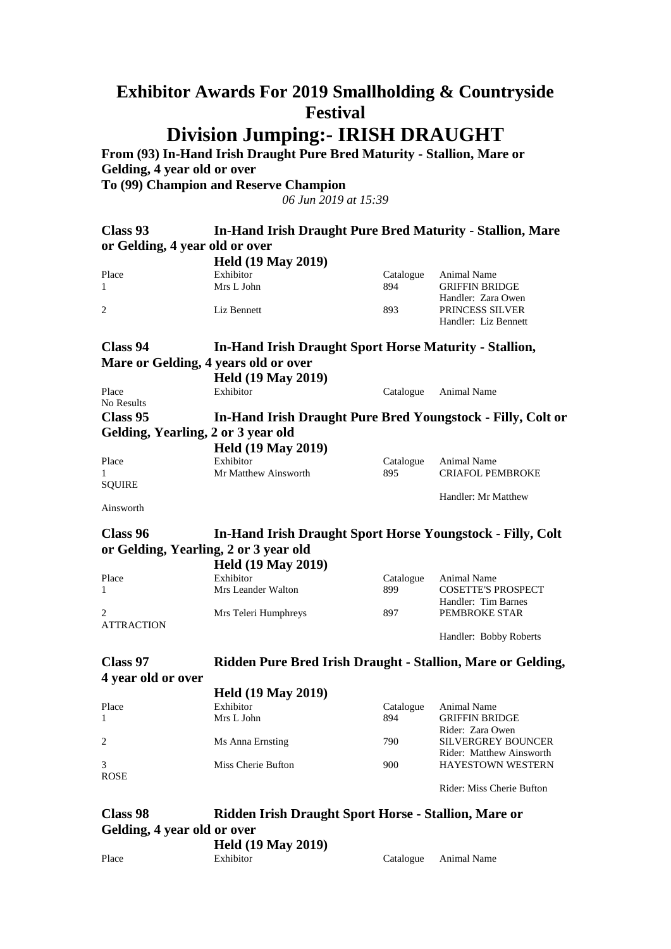# **Division Jumping:- IRISH DRAUGHT**

**From (93) In-Hand Irish Draught Pure Bred Maturity - Stallion, Mare or Gelding, 4 year old or over To (99) Champion and Reserve Champion**

| Class 93<br>or Gelding, 4 year old or over        | <b>In-Hand Irish Draught Pure Bred Maturity - Stallion, Mare</b> |                  |                                                                           |  |
|---------------------------------------------------|------------------------------------------------------------------|------------------|---------------------------------------------------------------------------|--|
|                                                   | <b>Held (19 May 2019)</b>                                        |                  |                                                                           |  |
| Place<br>1                                        | Exhibitor<br>Mrs L John                                          | Catalogue<br>894 | Animal Name<br><b>GRIFFIN BRIDGE</b>                                      |  |
| 2                                                 | Liz Bennett                                                      | 893              | Handler: Zara Owen<br><b>PRINCESS SILVER</b><br>Handler: Liz Bennett      |  |
| Class 94                                          | <b>In-Hand Irish Draught Sport Horse Maturity - Stallion,</b>    |                  |                                                                           |  |
| Mare or Gelding, 4 years old or over              |                                                                  |                  |                                                                           |  |
|                                                   | <b>Held (19 May 2019)</b>                                        |                  |                                                                           |  |
| Place<br>No Results                               | Exhibitor                                                        | Catalogue        | Animal Name                                                               |  |
| Class 95                                          | In-Hand Irish Draught Pure Bred Youngstock - Filly, Colt or      |                  |                                                                           |  |
| Gelding, Yearling, 2 or 3 year old                |                                                                  |                  |                                                                           |  |
|                                                   | <b>Held (19 May 2019)</b>                                        |                  |                                                                           |  |
| Place                                             | Exhibitor                                                        | Catalogue        | Animal Name                                                               |  |
| 1                                                 | Mr Matthew Ainsworth                                             | 895              | <b>CRIAFOL PEMBROKE</b>                                                   |  |
| <b>SQUIRE</b>                                     |                                                                  |                  | Handler: Mr Matthew                                                       |  |
| Ainsworth                                         |                                                                  |                  |                                                                           |  |
| Class 96<br>or Gelding, Yearling, 2 or 3 year old | In-Hand Irish Draught Sport Horse Youngstock - Filly, Colt       |                  |                                                                           |  |
|                                                   | <b>Held (19 May 2019)</b>                                        |                  |                                                                           |  |
| Place                                             | Exhibitor                                                        | Catalogue        | Animal Name                                                               |  |
| $\mathbf{1}$                                      | Mrs Leander Walton                                               | 899              | <b>COSETTE'S PROSPECT</b>                                                 |  |
| 2                                                 | Mrs Teleri Humphreys                                             | 897              | Handler: Tim Barnes<br>PEMBROKE STAR                                      |  |
| <b>ATTRACTION</b>                                 |                                                                  |                  | Handler: Bobby Roberts                                                    |  |
| Class 97                                          | Ridden Pure Bred Irish Draught - Stallion, Mare or Gelding,      |                  |                                                                           |  |
| 4 year old or over                                |                                                                  |                  |                                                                           |  |
|                                                   | <b>Held (19 May 2019)</b>                                        |                  |                                                                           |  |
| Place                                             | Exhibitor                                                        | Catalogue        | Animal Name                                                               |  |
| 1                                                 | Mrs L John                                                       | 894              | <b>GRIFFIN BRIDGE</b>                                                     |  |
| 2                                                 | Ms Anna Ernsting                                                 | 790              | Rider: Zara Owen<br><b>SILVERGREY BOUNCER</b><br>Rider: Matthew Ainsworth |  |
| 3<br><b>ROSE</b>                                  | Miss Cherie Bufton                                               | 900              | <b>HAYESTOWN WESTERN</b>                                                  |  |
|                                                   |                                                                  |                  | Rider: Miss Cherie Bufton                                                 |  |
| <b>Class 98</b>                                   | Ridden Irish Draught Sport Horse - Stallion, Mare or             |                  |                                                                           |  |
| Gelding, 4 year old or over                       |                                                                  |                  |                                                                           |  |
|                                                   | <b>Held (19 May 2019)</b>                                        |                  |                                                                           |  |
| Place                                             | Exhibitor                                                        | Catalogue        | Animal Name                                                               |  |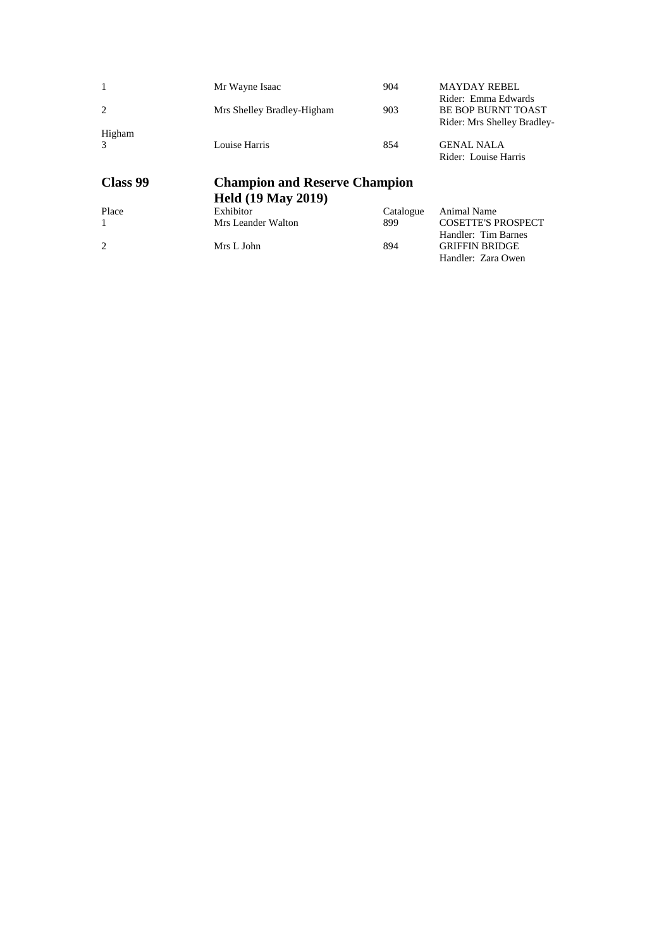| 2        | Mr Wayne Isaac<br>Mrs Shelley Bradley-Higham | 904<br>903 | <b>MAYDAY REBEL</b><br>Rider: Emma Edwards<br><b>BE BOP BURNT TOAST</b><br>Rider: Mrs Shelley Bradley- |
|----------|----------------------------------------------|------------|--------------------------------------------------------------------------------------------------------|
| Higham   |                                              |            |                                                                                                        |
| 3        | Louise Harris                                | 854        | <b>GENAL NALA</b><br>Rider: Louise Harris                                                              |
| Class 99 | <b>Champion and Reserve Champion</b>         |            |                                                                                                        |
|          | <b>Held (19 May 2019)</b>                    |            |                                                                                                        |
| Place    | Exhibitor                                    | Catalogue  | Animal Name                                                                                            |
| 1        | Mrs Leander Walton                           | 899        | <b>COSETTE'S PROSPECT</b><br>Handler: Tim Barnes                                                       |

Handler: Zara Owen

2 Mrs L John 894 GRIFFIN BRIDGE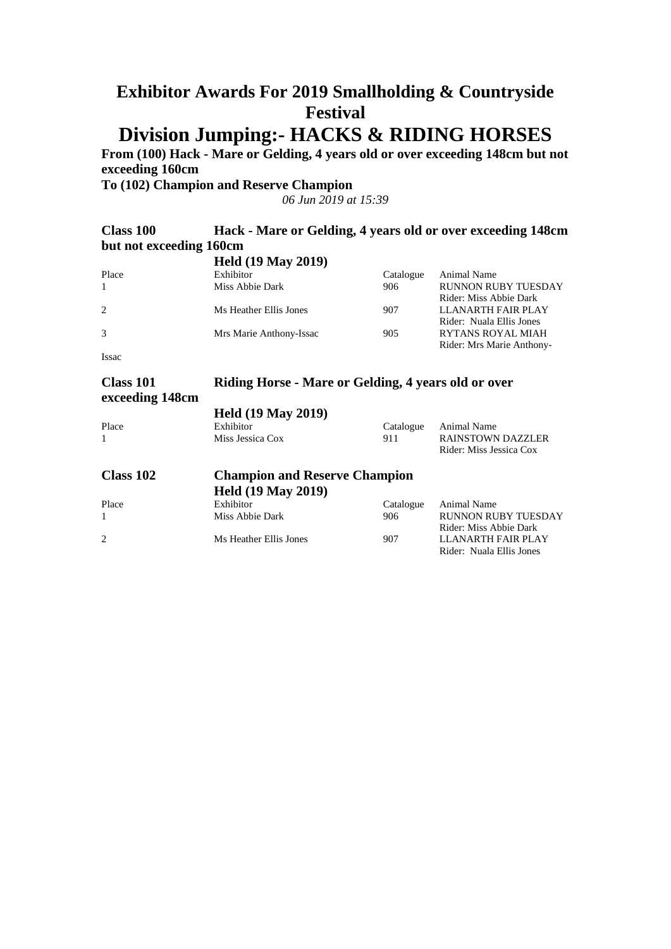# **Division Jumping:- HACKS & RIDING HORSES**

**From (100) Hack - Mare or Gelding, 4 years old or over exceeding 148cm but not exceeding 160cm**

**To (102) Champion and Reserve Champion**

*06 Jun 2019 at 15:39*

### **Class 100 Hack - Mare or Gelding, 4 years old or over exceeding 148cm but not exceeding 160cm**

|                  | <b>Held (19 May 2019)</b>                           |           |                                                       |
|------------------|-----------------------------------------------------|-----------|-------------------------------------------------------|
| Place            | Exhibitor                                           | Catalogue | Animal Name                                           |
| -1               | Miss Abbie Dark                                     | 906       | <b>RUNNON RUBY TUESDAY</b><br>Rider: Miss Abbie Dark  |
| 2                | Ms Heather Ellis Jones                              | 907       | LLANARTH FAIR PLAY<br>Rider: Nuala Ellis Jones        |
| $\mathcal{R}$    | Mrs Marie Anthony-Issac                             | 905       | <b>RYTANS ROYAL MIAH</b><br>Rider: Mrs Marie Anthony- |
| <b>Issac</b>     |                                                     |           |                                                       |
| <b>Class 101</b> | Riding Horse - Mare or Gelding, 4 years old or over |           |                                                       |

| exceeding 148cm |                           |           |                                                     |
|-----------------|---------------------------|-----------|-----------------------------------------------------|
|                 | <b>Held (19 May 2019)</b> |           |                                                     |
| Place           | Exhibitor                 | Catalogue | Animal Name                                         |
|                 | Miss Jessica Cox          | 911       | <b>RAINSTOWN DAZZLER</b><br>Rider: Miss Jessica Cox |

| Class 102 | <b>Champion and Reserve Champion</b><br><b>Held (19 May 2019)</b> |           |                            |
|-----------|-------------------------------------------------------------------|-----------|----------------------------|
| Place     | Exhibitor                                                         | Catalogue | Animal Name                |
|           | Miss Abbie Dark                                                   | 906       | <b>RUNNON RUBY TUESDAY</b> |
|           |                                                                   |           | Rider: Miss Abbie Dark     |
| 2         | Ms Heather Ellis Jones                                            | 907       | <b>LLANARTH FAIR PLAY</b>  |
|           |                                                                   |           | Rider: Nuala Ellis Jones   |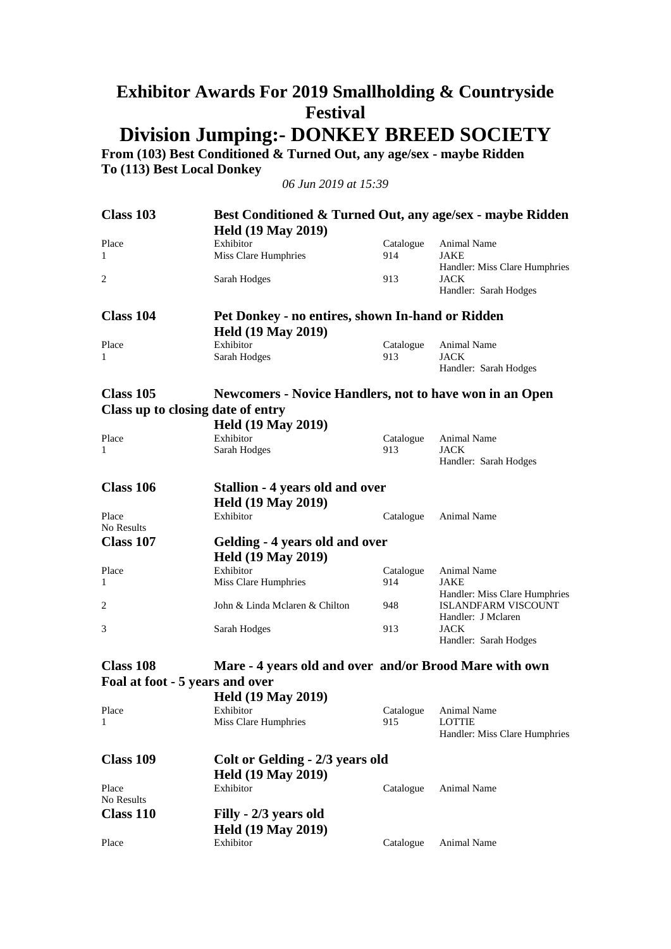**Division Jumping:- DONKEY BREED SOCIETY**

**From (103) Best Conditioned & Turned Out, any age/sex - maybe Ridden To (113) Best Local Donkey**

| Class 103                         | Best Conditioned & Turned Out, any age/sex - maybe Ridden      |                  |                               |
|-----------------------------------|----------------------------------------------------------------|------------------|-------------------------------|
|                                   | <b>Held (19 May 2019)</b>                                      |                  |                               |
| Place                             | Exhibitor                                                      | Catalogue        | Animal Name                   |
| 1                                 | Miss Clare Humphries                                           | 914              | JAKE                          |
|                                   |                                                                |                  | Handler: Miss Clare Humphries |
| 2                                 | Sarah Hodges                                                   | 913              | JACK                          |
|                                   |                                                                |                  | Handler: Sarah Hodges         |
| Class 104                         | Pet Donkey - no entires, shown In-hand or Ridden               |                  |                               |
|                                   | <b>Held (19 May 2019)</b>                                      |                  |                               |
| Place                             | Exhibitor                                                      | Catalogue        | Animal Name                   |
| 1                                 | Sarah Hodges                                                   | 913              | <b>JACK</b>                   |
|                                   |                                                                |                  | Handler: Sarah Hodges         |
| Class 105                         | <b>Newcomers - Novice Handlers, not to have won in an Open</b> |                  |                               |
| Class up to closing date of entry |                                                                |                  |                               |
|                                   |                                                                |                  |                               |
|                                   | <b>Held (19 May 2019)</b>                                      |                  |                               |
| Place                             | Exhibitor                                                      | Catalogue        | Animal Name                   |
| 1                                 | Sarah Hodges                                                   | 913              | <b>JACK</b>                   |
|                                   |                                                                |                  | Handler: Sarah Hodges         |
| Class 106                         | <b>Stallion - 4 years old and over</b>                         |                  |                               |
|                                   | <b>Held (19 May 2019)</b>                                      |                  |                               |
| Place                             | Exhibitor                                                      | Catalogue        | Animal Name                   |
| No Results                        |                                                                |                  |                               |
| Class 107                         | Gelding - 4 years old and over                                 |                  |                               |
|                                   |                                                                |                  |                               |
|                                   | <b>Held (19 May 2019)</b>                                      |                  |                               |
| Place                             | Exhibitor                                                      | Catalogue        | Animal Name<br>JAKE           |
| 1                                 | Miss Clare Humphries                                           | 914              | Handler: Miss Clare Humphries |
| 2                                 | John & Linda Mclaren & Chilton                                 | 948              | <b>ISLANDFARM VISCOUNT</b>    |
|                                   |                                                                |                  | Handler: J Mclaren            |
| 3                                 | Sarah Hodges                                                   | 913              | JACK                          |
|                                   |                                                                |                  | Handler: Sarah Hodges         |
| <b>Class 108</b>                  | Mare - 4 years old and over and/or Brood Mare with own         |                  |                               |
| Foal at foot - 5 years and over   |                                                                |                  |                               |
|                                   | <b>Held (19 May 2019)</b>                                      |                  |                               |
|                                   |                                                                |                  | Animal Name                   |
| Place<br>1                        | Exhibitor<br>Miss Clare Humphries                              | Catalogue<br>915 | LOTTIE                        |
|                                   |                                                                |                  | Handler: Miss Clare Humphries |
| Class 109                         | Colt or Gelding - 2/3 years old                                |                  |                               |
|                                   |                                                                |                  |                               |
|                                   | <b>Held (19 May 2019)</b>                                      |                  |                               |
| Place<br>No Results               | Exhibitor                                                      | Catalogue        | Animal Name                   |
|                                   |                                                                |                  |                               |
| Class 110                         | Filly - 2/3 years old                                          |                  |                               |
|                                   | <b>Held (19 May 2019)</b>                                      |                  |                               |
| Place                             | Exhibitor                                                      | Catalogue        | Animal Name                   |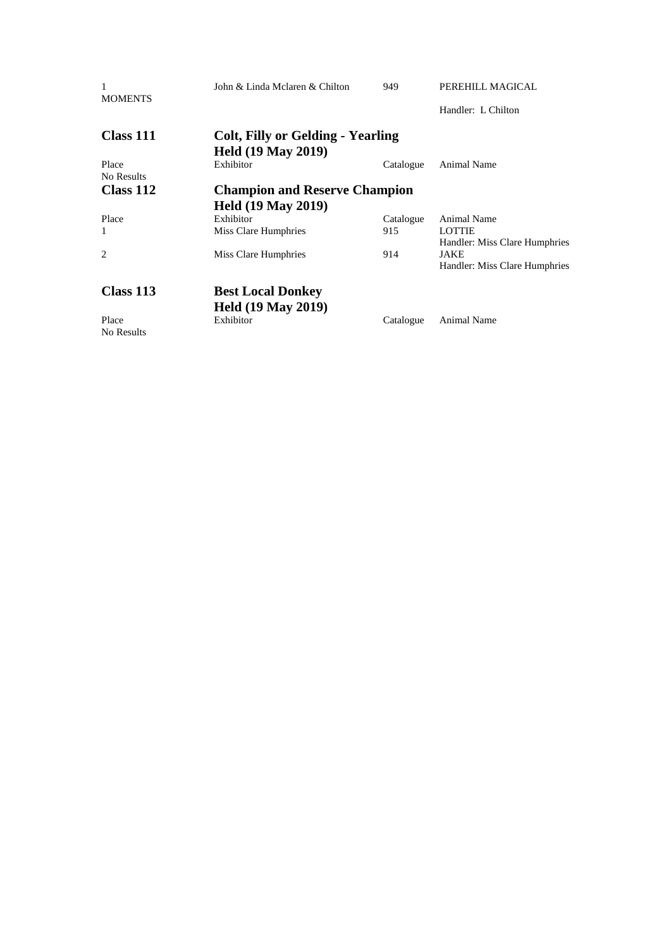| 1<br><b>MOMENTS</b> | John & Linda Mclaren & Chilton           | 949       | PEREHILL MAGICAL                                                              |
|---------------------|------------------------------------------|-----------|-------------------------------------------------------------------------------|
|                     |                                          |           | Handler: L Chilton                                                            |
| Class 111           | <b>Colt, Filly or Gelding - Yearling</b> |           |                                                                               |
|                     | <b>Held (19 May 2019)</b>                |           |                                                                               |
| Place<br>No Results | Exhibitor                                | Catalogue | <b>Animal Name</b>                                                            |
| Class 112           | <b>Champion and Reserve Champion</b>     |           |                                                                               |
|                     | <b>Held (19 May 2019)</b>                |           |                                                                               |
| Place               | Exhibitor                                | Catalogue | Animal Name                                                                   |
| 1                   | Miss Clare Humphries                     | 915       | <b>LOTTIE</b>                                                                 |
| $\overline{c}$      | Miss Clare Humphries                     | 914       | Handler: Miss Clare Humphries<br><b>JAKE</b><br>Handler: Miss Clare Humphries |
| Class 113           | <b>Best Local Donkey</b>                 |           |                                                                               |
|                     | <b>Held (19 May 2019)</b>                |           |                                                                               |
| Place<br>No Results | Exhibitor                                | Catalogue | Animal Name                                                                   |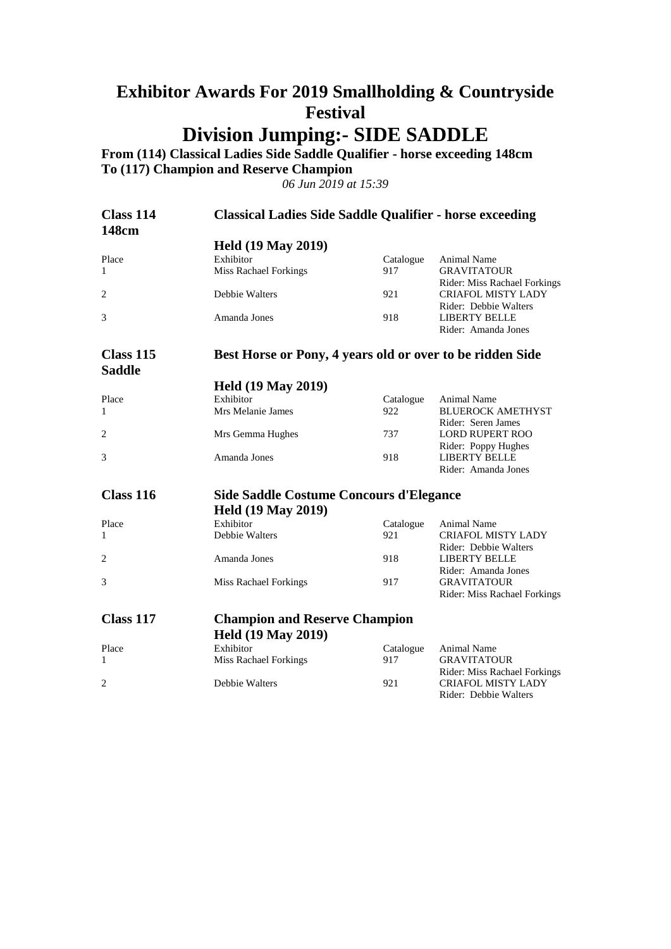**Division Jumping:- SIDE SADDLE**

**From (114) Classical Ladies Side Saddle Qualifier - horse exceeding 148cm**

**To (117) Champion and Reserve Champion**

| Class 114<br>148cm | <b>Classical Ladies Side Saddle Qualifier - horse exceeding</b> |           |                                             |
|--------------------|-----------------------------------------------------------------|-----------|---------------------------------------------|
|                    | <b>Held (19 May 2019)</b>                                       |           |                                             |
| Place              | Exhibitor                                                       | Catalogue | Animal Name                                 |
| 1                  | <b>Miss Rachael Forkings</b>                                    | 917       | <b>GRAVITATOUR</b>                          |
|                    |                                                                 |           | Rider: Miss Rachael Forkings                |
| $\overline{2}$     | Debbie Walters                                                  | 921       | <b>CRIAFOL MISTY LADY</b>                   |
|                    |                                                                 |           | Rider: Debbie Walters                       |
| 3                  | Amanda Jones                                                    | 918       | <b>LIBERTY BELLE</b>                        |
|                    |                                                                 |           | Rider: Amanda Jones                         |
| Class 115          | Best Horse or Pony, 4 years old or over to be ridden Side       |           |                                             |
| <b>Saddle</b>      |                                                                 |           |                                             |
|                    | <b>Held (19 May 2019)</b>                                       |           |                                             |
| Place              | Exhibitor                                                       | Catalogue | Animal Name                                 |
| $\mathbf{1}$       | Mrs Melanie James                                               | 922       | <b>BLUEROCK AMETHYST</b>                    |
|                    |                                                                 |           | Rider: Seren James                          |
| $\overline{2}$     | Mrs Gemma Hughes                                                | 737       | <b>LORD RUPERT ROO</b>                      |
| 3                  | Amanda Jones                                                    | 918       | Rider: Poppy Hughes<br><b>LIBERTY BELLE</b> |
|                    |                                                                 |           | Rider: Amanda Jones                         |
| Class 116          | <b>Side Saddle Costume Concours d'Elegance</b>                  |           |                                             |
|                    | <b>Held (19 May 2019)</b>                                       |           |                                             |
| Place              | Exhibitor                                                       | Catalogue | Animal Name                                 |
| 1                  | Debbie Walters                                                  | 921       | <b>CRIAFOL MISTY LADY</b>                   |
|                    |                                                                 |           | Rider: Debbie Walters                       |
| $\overline{2}$     | Amanda Jones                                                    | 918       | <b>LIBERTY BELLE</b>                        |
|                    |                                                                 |           | Rider: Amanda Jones                         |
| 3                  | Miss Rachael Forkings                                           | 917       | <b>GRAVITATOUR</b>                          |
|                    |                                                                 |           | Rider: Miss Rachael Forkings                |
| Class 117          | <b>Champion and Reserve Champion</b>                            |           |                                             |
|                    | <b>Held (19 May 2019)</b>                                       |           |                                             |
| Place              | Exhibitor                                                       | Catalogue | Animal Name                                 |
| 1                  | <b>Miss Rachael Forkings</b>                                    | 917       | <b>GRAVITATOUR</b>                          |
|                    |                                                                 |           | Rider: Miss Rachael Forkings                |
| $\overline{c}$     | Debbie Walters                                                  | 921       | <b>CRIAFOL MISTY LADY</b>                   |
|                    |                                                                 |           | Rider: Debbie Walters                       |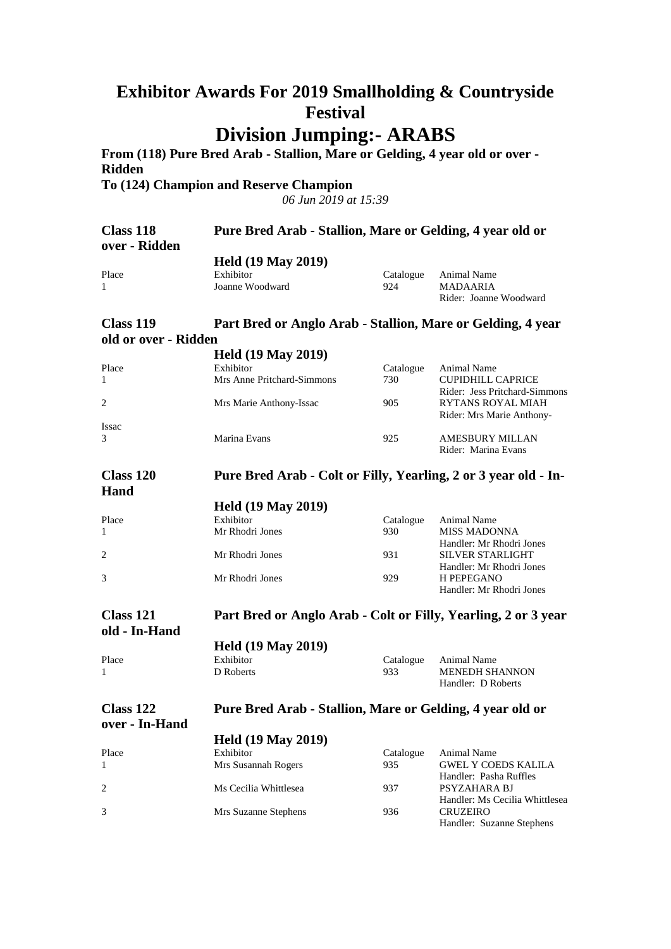# **Division Jumping:- ARABS**

**From (118) Pure Bred Arab - Stallion, Mare or Gelding, 4 year old or over - Ridden To (124) Champion and Reserve Champion**

*06 Jun 2019 at 15:39*

| Class 118<br>over - Ridden | Pure Bred Arab - Stallion, Mare or Gelding, 4 year old or |           |                                           |
|----------------------------|-----------------------------------------------------------|-----------|-------------------------------------------|
|                            | <b>Held (19 May 2019)</b>                                 |           |                                           |
| Place                      | Exhibitor                                                 | Catalogue | Animal Name                               |
| $\mathbf{1}$               | Joanne Woodward                                           | 924       | <b>MADAARIA</b><br>Rider: Joanne Woodward |

#### **Class 119 Part Bred or Anglo Arab - Stallion, Mare or Gelding, 4 year old or over - Ridden**

|              | <b>Held (19 May 2019)</b>  |           |                                                    |
|--------------|----------------------------|-----------|----------------------------------------------------|
| Place        | Exhibitor                  | Catalogue | Animal Name                                        |
| $\mathbf{1}$ | Mrs Anne Pritchard-Simmons | 730       | <b>CUPIDHILL CAPRICE</b>                           |
| 2            | Mrs Marie Anthony-Issac    | 905       | Rider: Jess Pritchard-Simmons<br>RYTANS ROYAL MIAH |
| Issac        |                            |           | Rider: Mrs Marie Anthony-                          |
| 3            | Marina Evans               | 925       | <b>AMESBURY MILLAN</b><br>Rider: Marina Evans      |

**Class 120 Pure Bred Arab - Colt or Filly, Yearling, 2 or 3 year old - In-**

|       | <b>Held (19 May 2019)</b> |           |                          |
|-------|---------------------------|-----------|--------------------------|
| Place | Exhibitor                 | Catalogue | Animal Name              |
|       | Mr Rhodri Jones           | 930       | MISS MADONNA             |
|       |                           |           | Handler: Mr Rhodri Jones |
|       | Mr Rhodri Jones           | 931       | <b>SILVER STARLIGHT</b>  |
|       |                           |           | Handler: Mr Rhodri Jones |
|       | Mr Rhodri Jones           | 929       | H PEPEGANO               |
|       |                           |           | Handler: Mr Rhodri Jones |

**Hand**

**Class 121 Part Bred or Anglo Arab - Colt or Filly, Yearling, 2 or 3 year** 

| old - In-Hand |                           |           |                       |
|---------------|---------------------------|-----------|-----------------------|
|               | <b>Held (19 May 2019)</b> |           |                       |
| Place         | Exhibitor                 | Catalogue | Animal Name           |
|               | D Roberts                 | 933       | <b>MENEDH SHANNON</b> |
|               |                           |           | Handler: D Roberts    |

#### **Class 122 Pure Bred Arab - Stallion, Mare or Gelding, 4 year old or over - In-Hand**

|       | <b>Held (19 May 2019)</b> |           |                                |
|-------|---------------------------|-----------|--------------------------------|
| Place | Exhibitor                 | Catalogue | Animal Name                    |
|       | Mrs Susannah Rogers       | 935       | <b>GWEL Y COEDS KALILA</b>     |
|       |                           |           | Handler: Pasha Ruffles         |
| 2     | Ms Cecilia Whittlesea     | 937       | PSYZAHARA BJ                   |
|       |                           |           | Handler: Ms Cecilia Whittlesea |
|       | Mrs Suzanne Stephens      | 936       | <b>CRUZEIRO</b>                |
|       |                           |           | Handler: Suzanne Stephens      |